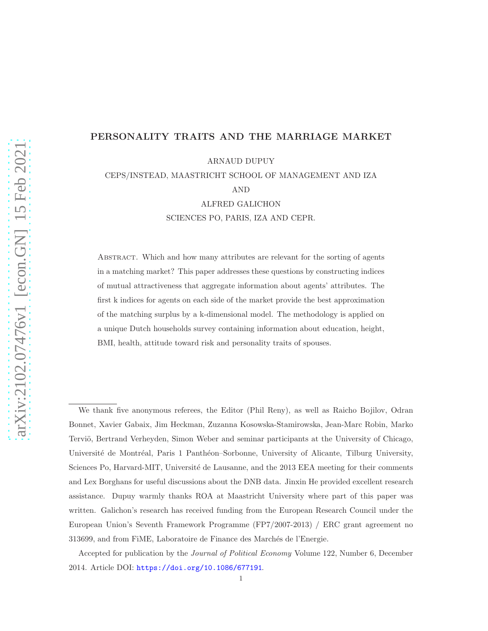# arXiv:2102.07476v1 [econ.GN] 15 Feb 2021 [arXiv:2102.07476v1 \[econ.GN\] 15 Feb 2021](http://arxiv.org/abs/2102.07476v1)

### PERSONALITY TRAITS AND THE MARRIAGE MARKET

ARNAUD DUPUY

CEPS/INSTEAD, MAASTRICHT SCHOOL OF MANAGEMENT AND IZA

AND

ALFRED GALICHON

SCIENCES PO, PARIS, IZA AND CEPR.

Abstract. Which and how many attributes are relevant for the sorting of agents in a matching market? This paper addresses these questions by constructing indices of mutual attractiveness that aggregate information about agents' attributes. The first k indices for agents on each side of the market provide the best approximation of the matching surplus by a k-dimensional model. The methodology is applied on a unique Dutch households survey containing information about education, height, BMI, health, attitude toward risk and personality traits of spouses.

We thank five anonymous referees, the Editor (Phil Reny), as well as Raicho Bojilov, Odran Bonnet, Xavier Gabaix, Jim Heckman, Zuzanna Kosowska-Stamirowska, Jean-Marc Robin, Marko Terviö, Bertrand Verheyden, Simon Weber and seminar participants at the University of Chicago. Université de Montréal, Paris 1 Panthéon–Sorbonne, University of Alicante, Tilburg University, Sciences Po, Harvard-MIT, Université de Lausanne, and the 2013 EEA meeting for their comments and Lex Borghans for useful discussions about the DNB data. Jinxin He provided excellent research assistance. Dupuy warmly thanks ROA at Maastricht University where part of this paper was written. Galichon's research has received funding from the European Research Council under the European Union's Seventh Framework Programme (FP7/2007-2013) / ERC grant agreement no 313699, and from FiME, Laboratoire de Finance des Marchés de l'Energie.

Accepted for publication by the Journal of Political Economy Volume 122, Number 6, December 2014. Article DOI: <https://doi.org/10.1086/677191>.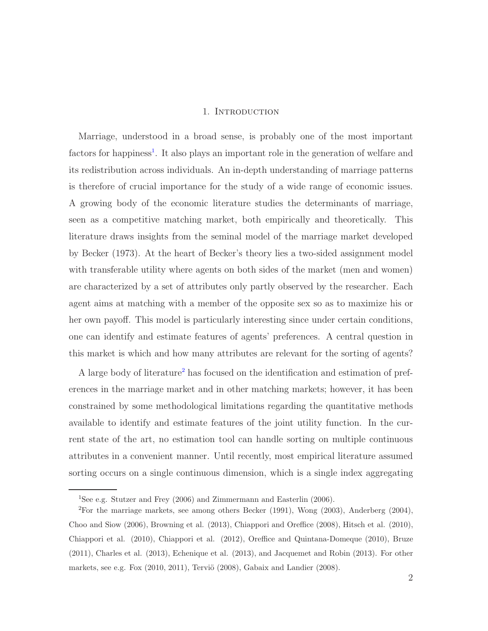### 1. Introduction

Marriage, understood in a broad sense, is probably one of the most important factors for happiness<sup>[1](#page-1-0)</sup>. It also plays an important role in the generation of welfare and its redistribution across individuals. An in-depth understanding of marriage patterns is therefore of crucial importance for the study of a wide range of economic issues. A growing body of the economic literature studies the determinants of marriage, seen as a competitive matching market, both empirically and theoretically. This literature draws insights from the seminal model of the marriage market developed by Becker (1973). At the heart of Becker's theory lies a two-sided assignment model with transferable utility where agents on both sides of the market (men and women) are characterized by a set of attributes only partly observed by the researcher. Each agent aims at matching with a member of the opposite sex so as to maximize his or her own payoff. This model is particularly interesting since under certain conditions, one can identify and estimate features of agents' preferences. A central question in this market is which and how many attributes are relevant for the sorting of agents?

A large body of literature<sup>[2](#page-1-1)</sup> has focused on the identification and estimation of preferences in the marriage market and in other matching markets; however, it has been constrained by some methodological limitations regarding the quantitative methods available to identify and estimate features of the joint utility function. In the current state of the art, no estimation tool can handle sorting on multiple continuous attributes in a convenient manner. Until recently, most empirical literature assumed sorting occurs on a single continuous dimension, which is a single index aggregating

<span id="page-1-0"></span><sup>&</sup>lt;sup>1</sup>See e.g. Stutzer and Frey (2006) and Zimmermann and Easterlin (2006).

<span id="page-1-1"></span><sup>2</sup>For the marriage markets, see among others Becker (1991), Wong (2003), Anderberg (2004), Choo and Siow (2006), Browning et al. (2013), Chiappori and Oreffice (2008), Hitsch et al. (2010), Chiappori et al. (2010), Chiappori et al. (2012), Oreffice and Quintana-Domeque (2010), Bruze (2011), Charles et al. (2013), Echenique et al. (2013), and Jacquemet and Robin (2013). For other markets, see e.g. Fox  $(2010, 2011)$ , Terviö  $(2008)$ , Gabaix and Landier  $(2008)$ .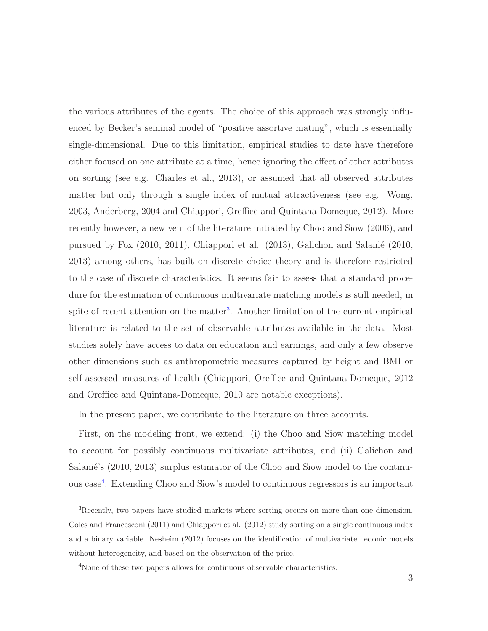the various attributes of the agents. The choice of this approach was strongly influenced by Becker's seminal model of "positive assortive mating", which is essentially single-dimensional. Due to this limitation, empirical studies to date have therefore either focused on one attribute at a time, hence ignoring the effect of other attributes on sorting (see e.g. Charles et al., 2013), or assumed that all observed attributes matter but only through a single index of mutual attractiveness (see e.g. Wong, 2003, Anderberg, 2004 and Chiappori, Oreffice and Quintana-Domeque, 2012). More recently however, a new vein of the literature initiated by Choo and Siow (2006), and pursued by Fox  $(2010, 2011)$ , Chiappori et al.  $(2013)$ , Galichon and Salanié  $(2010, 2011)$ 2013) among others, has built on discrete choice theory and is therefore restricted to the case of discrete characteristics. It seems fair to assess that a standard procedure for the estimation of continuous multivariate matching models is still needed, in spite of recent attention on the matter<sup>[3](#page-2-0)</sup>. Another limitation of the current empirical literature is related to the set of observable attributes available in the data. Most studies solely have access to data on education and earnings, and only a few observe other dimensions such as anthropometric measures captured by height and BMI or self-assessed measures of health (Chiappori, Oreffice and Quintana-Domeque, 2012 and Oreffice and Quintana-Domeque, 2010 are notable exceptions).

In the present paper, we contribute to the literature on three accounts.

First, on the modeling front, we extend: (i) the Choo and Siow matching model to account for possibly continuous multivariate attributes, and (ii) Galichon and Salanié's (2010, 2013) surplus estimator of the Choo and Siow model to the continuous case[4](#page-2-1) . Extending Choo and Siow's model to continuous regressors is an important

<span id="page-2-0"></span><sup>3</sup>Recently, two papers have studied markets where sorting occurs on more than one dimension. Coles and Francesconi (2011) and Chiappori et al. (2012) study sorting on a single continuous index and a binary variable. Nesheim (2012) focuses on the identification of multivariate hedonic models without heterogeneity, and based on the observation of the price.

<span id="page-2-1"></span><sup>&</sup>lt;sup>4</sup>None of these two papers allows for continuous observable characteristics.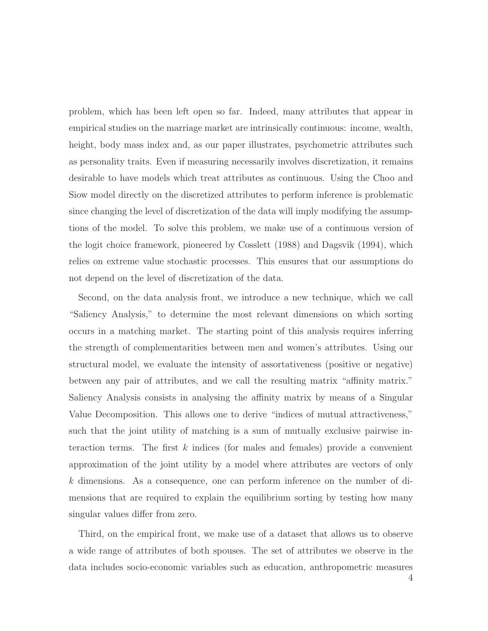problem, which has been left open so far. Indeed, many attributes that appear in empirical studies on the marriage market are intrinsically continuous: income, wealth, height, body mass index and, as our paper illustrates, psychometric attributes such as personality traits. Even if measuring necessarily involves discretization, it remains desirable to have models which treat attributes as continuous. Using the Choo and Siow model directly on the discretized attributes to perform inference is problematic since changing the level of discretization of the data will imply modifying the assumptions of the model. To solve this problem, we make use of a continuous version of the logit choice framework, pioneered by Cosslett (1988) and Dagsvik (1994), which relies on extreme value stochastic processes. This ensures that our assumptions do not depend on the level of discretization of the data.

Second, on the data analysis front, we introduce a new technique, which we call "Saliency Analysis," to determine the most relevant dimensions on which sorting occurs in a matching market. The starting point of this analysis requires inferring the strength of complementarities between men and women's attributes. Using our structural model, we evaluate the intensity of assortativeness (positive or negative) between any pair of attributes, and we call the resulting matrix "affinity matrix." Saliency Analysis consists in analysing the affinity matrix by means of a Singular Value Decomposition. This allows one to derive "indices of mutual attractiveness," such that the joint utility of matching is a sum of mutually exclusive pairwise interaction terms. The first  $k$  indices (for males and females) provide a convenient approximation of the joint utility by a model where attributes are vectors of only k dimensions. As a consequence, one can perform inference on the number of dimensions that are required to explain the equilibrium sorting by testing how many singular values differ from zero.

Third, on the empirical front, we make use of a dataset that allows us to observe a wide range of attributes of both spouses. The set of attributes we observe in the data includes socio-economic variables such as education, anthropometric measures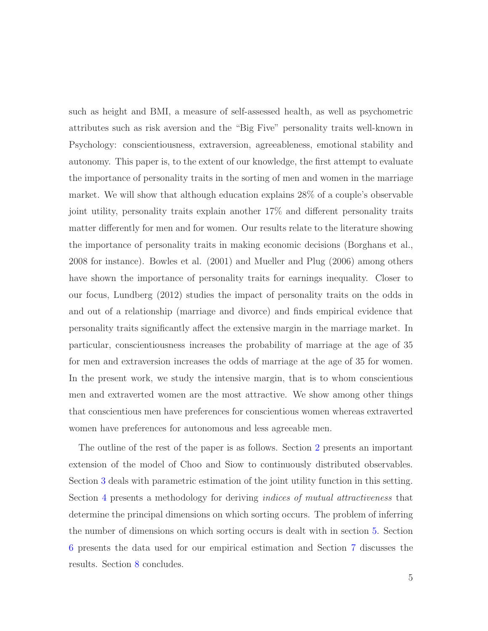such as height and BMI, a measure of self-assessed health, as well as psychometric attributes such as risk aversion and the "Big Five" personality traits well-known in Psychology: conscientiousness, extraversion, agreeableness, emotional stability and autonomy. This paper is, to the extent of our knowledge, the first attempt to evaluate the importance of personality traits in the sorting of men and women in the marriage market. We will show that although education explains 28% of a couple's observable joint utility, personality traits explain another 17% and different personality traits matter differently for men and for women. Our results relate to the literature showing the importance of personality traits in making economic decisions (Borghans et al., 2008 for instance). Bowles et al. (2001) and Mueller and Plug (2006) among others have shown the importance of personality traits for earnings inequality. Closer to our focus, Lundberg (2012) studies the impact of personality traits on the odds in and out of a relationship (marriage and divorce) and finds empirical evidence that personality traits significantly affect the extensive margin in the marriage market. In particular, conscientiousness increases the probability of marriage at the age of 35 for men and extraversion increases the odds of marriage at the age of 35 for women. In the present work, we study the intensive margin, that is to whom conscientious men and extraverted women are the most attractive. We show among other things that conscientious men have preferences for conscientious women whereas extraverted women have preferences for autonomous and less agreeable men.

The outline of the rest of the paper is as follows. Section [2](#page-5-0) presents an important extension of the model of Choo and Siow to continuously distributed observables. Section [3](#page-14-0) deals with parametric estimation of the joint utility function in this setting. Section [4](#page-20-0) presents a methodology for deriving indices of mutual attractiveness that determine the principal dimensions on which sorting occurs. The problem of inferring the number of dimensions on which sorting occurs is dealt with in section [5.](#page-24-0) Section [6](#page-27-0) presents the data used for our empirical estimation and Section [7](#page-32-0) discusses the results. Section [8](#page-36-0) concludes.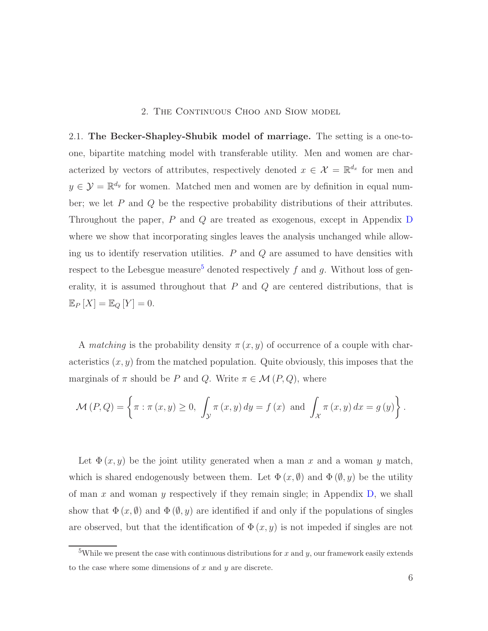### 2. The Continuous Choo and Siow model

<span id="page-5-0"></span>2.1. The Becker-Shapley-Shubik model of marriage. The setting is a one-toone, bipartite matching model with transferable utility. Men and women are characterized by vectors of attributes, respectively denoted  $x \in \mathcal{X} = \mathbb{R}^{d_x}$  for men and  $y \in \mathcal{Y} = \mathbb{R}^{d_y}$  for women. Matched men and women are by definition in equal number; we let  $P$  and  $Q$  be the respective probability distributions of their attributes. Throughout the paper, P and Q are treated as exogenous, except in Appendix [D](#page-53-0) where we show that incorporating singles leaves the analysis unchanged while allowing us to identify reservation utilities.  $P$  and  $Q$  are assumed to have densities with respect to the Lebesgue measure<sup>[5](#page-5-1)</sup> denoted respectively f and g. Without loss of generality, it is assumed throughout that  $P$  and  $Q$  are centered distributions, that is  $\mathbb{E}_P [X] = \mathbb{E}_Q [Y] = 0.$ 

A matching is the probability density  $\pi(x, y)$  of occurrence of a couple with characteristics  $(x, y)$  from the matched population. Quite obviously, this imposes that the marginals of  $\pi$  should be P and Q. Write  $\pi \in \mathcal{M}(P,Q)$ , where

$$
\mathcal{M}(P,Q) = \left\{ \pi : \pi(x,y) \ge 0, \int_{\mathcal{Y}} \pi(x,y) dy = f(x) \text{ and } \int_{\mathcal{X}} \pi(x,y) dx = g(y) \right\}.
$$

Let  $\Phi(x, y)$  be the joint utility generated when a man x and a woman y match, which is shared endogenously between them. Let  $\Phi(x, \emptyset)$  and  $\Phi(\emptyset, y)$  be the utility of man x and woman y respectively if they remain single; in Appendix  $D$ , we shall show that  $\Phi(x, \emptyset)$  and  $\Phi(\emptyset, y)$  are identified if and only if the populations of singles are observed, but that the identification of  $\Phi(x, y)$  is not impeded if singles are not

<span id="page-5-1"></span><sup>&</sup>lt;sup>5</sup>While we present the case with continuous distributions for x and y, our framework easily extends to the case where some dimensions of  $x$  and  $y$  are discrete.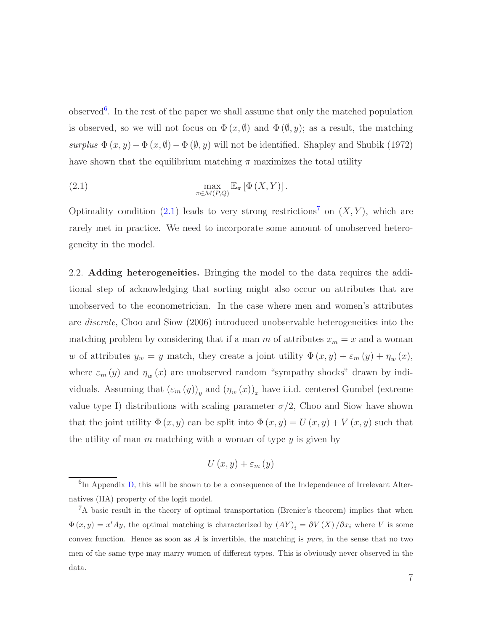observed<sup>[6](#page-6-0)</sup>. In the rest of the paper we shall assume that only the matched population is observed, so we will not focus on  $\Phi(x, \emptyset)$  and  $\Phi(\emptyset, y)$ ; as a result, the matching surplus  $\Phi(x, y) - \Phi(x, \emptyset) - \Phi(\emptyset, y)$  will not be identified. Shapley and Shubik (1972) have shown that the equilibrium matching  $\pi$  maximizes the total utility

(2.1) 
$$
\max_{\pi \in \mathcal{M}(P,Q)} \mathbb{E}_{\pi} \left[ \Phi \left( X, Y \right) \right].
$$

Optimality condition  $(2.1)$  leads to very strong restrictions<sup>[7](#page-6-1)</sup> on  $(X, Y)$ , which are rarely met in practice. We need to incorporate some amount of unobserved heterogeneity in the model.

2.2. Adding heterogeneities. Bringing the model to the data requires the additional step of acknowledging that sorting might also occur on attributes that are unobserved to the econometrician. In the case where men and women's attributes are discrete, Choo and Siow (2006) introduced unobservable heterogeneities into the matching problem by considering that if a man m of attributes  $x_m = x$  and a woman w of attributes  $y_w = y$  match, they create a joint utility  $\Phi(x, y) + \varepsilon_m(y) + \eta_w(x)$ , where  $\varepsilon_m(y)$  and  $\eta_w(x)$  are unobserved random "sympathy shocks" drawn by individuals. Assuming that  $(\varepsilon_m(y))_y$  and  $(\eta_w(x))_x$  have i.i.d. centered Gumbel (extreme value type I) distributions with scaling parameter  $\sigma/2$ , Choo and Siow have shown that the joint utility  $\Phi(x, y)$  can be split into  $\Phi(x, y) = U(x, y) + V(x, y)$  such that the utility of man  $m$  matching with a woman of type  $y$  is given by

$$
U\left(x,y\right)+\varepsilon_{m}\left(y\right)
$$

<span id="page-6-0"></span> ${}^{6}$ In Appendix [D,](#page-53-0) this will be shown to be a consequence of the Independence of Irrelevant Alternatives (IIA) property of the logit model.

<span id="page-6-1"></span><sup>7</sup>A basic result in the theory of optimal transportation (Brenier's theorem) implies that when  $\Phi(x,y) = x'Ay$ , the optimal matching is characterized by  $(AY)_i = \partial V(X)/\partial x_i$  where V is some convex function. Hence as soon as  $A$  is invertible, the matching is *pure*, in the sense that no two men of the same type may marry women of different types. This is obviously never observed in the data.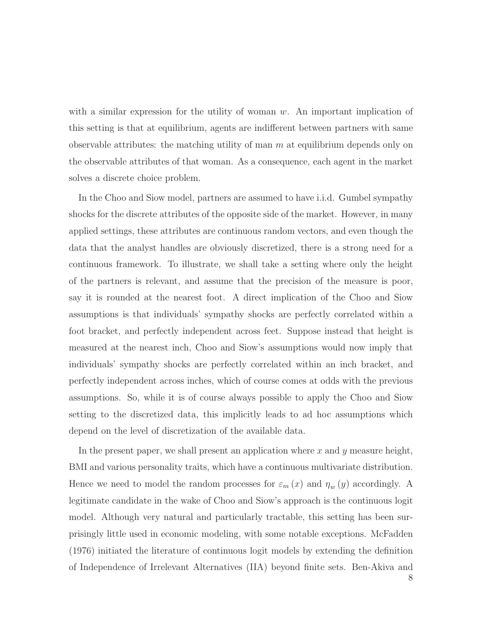with a similar expression for the utility of woman  $w$ . An important implication of this setting is that at equilibrium, agents are indifferent between partners with same observable attributes: the matching utility of man  $m$  at equilibrium depends only on the observable attributes of that woman. As a consequence, each agent in the market solves a discrete choice problem.

In the Choo and Siow model, partners are assumed to have i.i.d. Gumbel sympathy shocks for the discrete attributes of the opposite side of the market. However, in many applied settings, these attributes are continuous random vectors, and even though the data that the analyst handles are obviously discretized, there is a strong need for a continuous framework. To illustrate, we shall take a setting where only the height of the partners is relevant, and assume that the precision of the measure is poor, say it is rounded at the nearest foot. A direct implication of the Choo and Siow assumptions is that individuals' sympathy shocks are perfectly correlated within a foot bracket, and perfectly independent across feet. Suppose instead that height is measured at the nearest inch, Choo and Siow's assumptions would now imply that individuals' sympathy shocks are perfectly correlated within an inch bracket, and perfectly independent across inches, which of course comes at odds with the previous assumptions. So, while it is of course always possible to apply the Choo and Siow setting to the discretized data, this implicitly leads to ad hoc assumptions which depend on the level of discretization of the available data.

In the present paper, we shall present an application where  $x$  and  $y$  measure height, BMI and various personality traits, which have a continuous multivariate distribution. Hence we need to model the random processes for  $\varepsilon_m(x)$  and  $\eta_w(y)$  accordingly. A legitimate candidate in the wake of Choo and Siow's approach is the continuous logit model. Although very natural and particularly tractable, this setting has been surprisingly little used in economic modeling, with some notable exceptions. McFadden (1976) initiated the literature of continuous logit models by extending the definition of Independence of Irrelevant Alternatives (IIA) beyond finite sets. Ben-Akiva and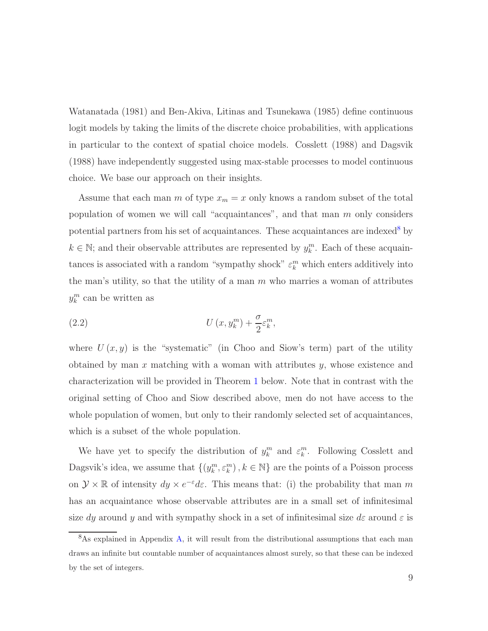Watanatada (1981) and Ben-Akiva, Litinas and Tsunekawa (1985) define continuous logit models by taking the limits of the discrete choice probabilities, with applications in particular to the context of spatial choice models. Cosslett (1988) and Dagsvik (1988) have independently suggested using max-stable processes to model continuous choice. We base our approach on their insights.

Assume that each man m of type  $x_m = x$  only knows a random subset of the total population of women we will call "acquaintances", and that man m only considers potential partners from his set of acquaintances. These acquaintances are indexed<sup>[8](#page-8-0)</sup> by  $k \in \mathbb{N}$ ; and their observable attributes are represented by  $y_k^m$ . Each of these acquaintances is associated with a random "sympathy shock"  $\varepsilon_k^m$  which enters additively into the man's utility, so that the utility of a man  $m$  who marries a woman of attributes  $y_k^m$  can be written as

(2.2) 
$$
U(x, y_k^m) + \frac{\sigma}{2} \varepsilon_k^m,
$$

where  $U(x, y)$  is the "systematic" (in Choo and Siow's term) part of the utility obtained by man  $x$  matching with a woman with attributes  $y$ , whose existence and characterization will be provided in Theorem [1](#page-10-0) below. Note that in contrast with the original setting of Choo and Siow described above, men do not have access to the whole population of women, but only to their randomly selected set of acquaintances, which is a subset of the whole population.

We have yet to specify the distribution of  $y_k^m$  and  $\varepsilon_k^m$ . Following Cosslett and Dagsvik's idea, we assume that  $\{(y_k^m, \varepsilon_k^m), k \in \mathbb{N}\}\$ are the points of a Poisson process on  $\mathcal{Y} \times \mathbb{R}$  of intensity  $dy \times e^{-\varepsilon} d\varepsilon$ . This means that: (i) the probability that man m has an acquaintance whose observable attributes are in a small set of infinitesimal size dy around y and with sympathy shock in a set of infinitesimal size  $d\varepsilon$  around  $\varepsilon$  is

<span id="page-8-0"></span><sup>&</sup>lt;sup>8</sup>As explained in Appendix [A,](#page-39-0) it will result from the distributional assumptions that each man draws an infinite but countable number of acquaintances almost surely, so that these can be indexed by the set of integers.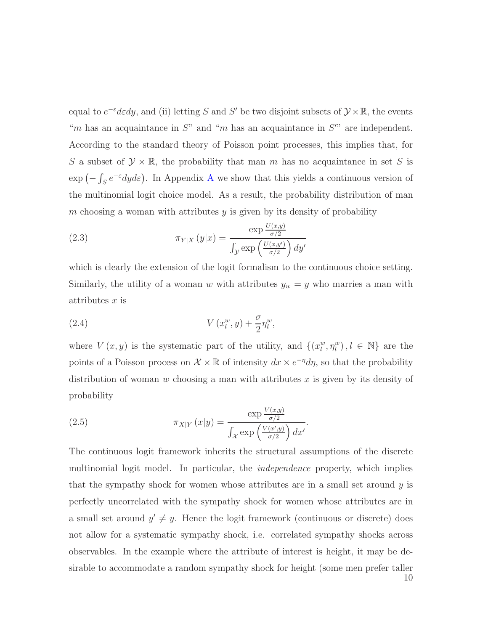equal to  $e^{-\varepsilon}$  dedy, and (ii) letting S and S' be two disjoint subsets of  $\mathcal{Y} \times \mathbb{R}$ , the events "m has an acquaintance in  $S$ " and "m has an acquaintance in  $S$ "" are independent. According to the standard theory of Poisson point processes, this implies that, for S a subset of  $\mathcal{Y} \times \mathbb{R}$ , the probability that man m has no acquaintance in set S is  $\exp(-\int_{S}e^{-\varepsilon}dyd\varepsilon)$ . In [A](#page-39-0)ppendix A we show that this yields a continuous version of the multinomial logit choice model. As a result, the probability distribution of man m choosing a woman with attributes  $\eta$  is given by its density of probability

(2.3) 
$$
\pi_{Y|X}(y|x) = \frac{\exp{\frac{U(x,y)}{\sigma/2}}}{\int_{\mathcal{Y}} \exp{\left(\frac{U(x,y')}{\sigma/2}\right)} dy'}
$$

which is clearly the extension of the logit formalism to the continuous choice setting. Similarly, the utility of a woman w with attributes  $y_w = y$  who marries a man with attributes  $x$  is

(2.4) 
$$
V(x_l^w, y) + \frac{\sigma}{2} \eta_l^w,
$$

where  $V(x, y)$  is the systematic part of the utility, and  $\{(x_l^w, \eta_l^w), l \in \mathbb{N}\}\)$  are the points of a Poisson process on  $\mathcal{X} \times \mathbb{R}$  of intensity  $dx \times e^{-\eta} d\eta$ , so that the probability distribution of woman w choosing a man with attributes x is given by its density of probability

(2.5) 
$$
\pi_{X|Y}(x|y) = \frac{\exp\frac{V(x,y)}{\sigma/2}}{\int_{\mathcal{X}} \exp\left(\frac{V(x',y)}{\sigma/2}\right) dx'}.
$$

The continuous logit framework inherits the structural assumptions of the discrete multinomial logit model. In particular, the *independence* property, which implies that the sympathy shock for women whose attributes are in a small set around  $y$  is perfectly uncorrelated with the sympathy shock for women whose attributes are in a small set around  $y' \neq y$ . Hence the logit framework (continuous or discrete) does not allow for a systematic sympathy shock, i.e. correlated sympathy shocks across observables. In the example where the attribute of interest is height, it may be desirable to accommodate a random sympathy shock for height (some men prefer taller 10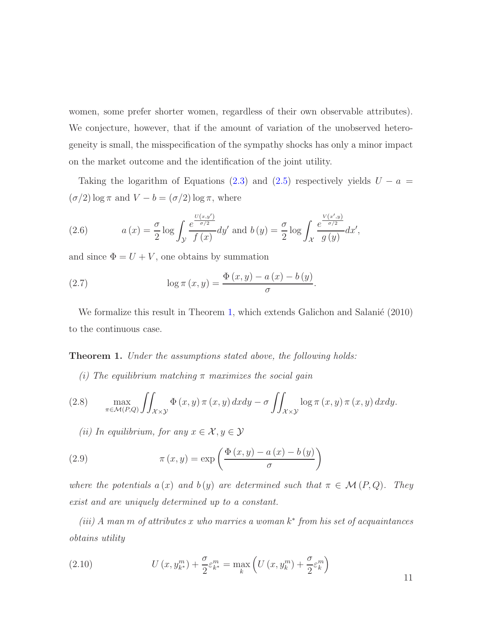women, some prefer shorter women, regardless of their own observable attributes). We conjecture, however, that if the amount of variation of the unobserved heterogeneity is small, the misspecification of the sympathy shocks has only a minor impact on the market outcome and the identification of the joint utility.

Taking the logarithm of Equations [\(2.3\)](#page-42-0) and [\(2.5\)](#page-43-0) respectively yields  $U - a =$  $(\sigma/2)\log\pi$  and  $V-b=(\sigma/2)\log\pi,$  where

(2.6) 
$$
a(x) = \frac{\sigma}{2} \log \int_{\mathcal{Y}} \frac{e^{\frac{U(x,y')}{\sigma/2}}}{f(x)} dy' \text{ and } b(y) = \frac{\sigma}{2} \log \int_{\mathcal{X}} \frac{e^{\frac{V(x',y)}{\sigma/2}}}{g(y)} dx',
$$

and since  $\Phi = U + V$ , one obtains by summation

(2.7) 
$$
\log \pi (x, y) = \frac{\Phi (x, y) - a (x) - b (y)}{\sigma}
$$

We formalize this result in Theorem [1,](#page-10-0) which extends Galichon and Salanié  $(2010)$ to the continuous case.

.

<span id="page-10-0"></span>**Theorem 1.** Under the assumptions stated above, the following holds:

(i) The equilibrium matching  $\pi$  maximizes the social gain

(2.8) 
$$
\max_{\pi \in \mathcal{M}(P,Q)} \iint_{\mathcal{X} \times \mathcal{Y}} \Phi(x,y) \pi(x,y) dx dy - \sigma \iint_{\mathcal{X} \times \mathcal{Y}} \log \pi(x,y) \pi(x,y) dx dy.
$$

(ii) In equilibrium, for any  $x \in \mathcal{X}, y \in \mathcal{Y}$ 

(2.9) 
$$
\pi(x, y) = \exp\left(\frac{\Phi(x, y) - a(x) - b(y)}{\sigma}\right)
$$

where the potentials  $a(x)$  and  $b(y)$  are determined such that  $\pi \in \mathcal{M}(P,Q)$ . They exist and are uniquely determined up to a constant.

 $(iii)$  A man m of attributes x who marries a woman  $k^*$  from his set of acquaintances obtains utility

(2.10) 
$$
U(x, y_k^m) + \frac{\sigma}{2} \varepsilon_{k^*}^m = \max_k \left( U(x, y_k^m) + \frac{\sigma}{2} \varepsilon_k^m \right)
$$
 11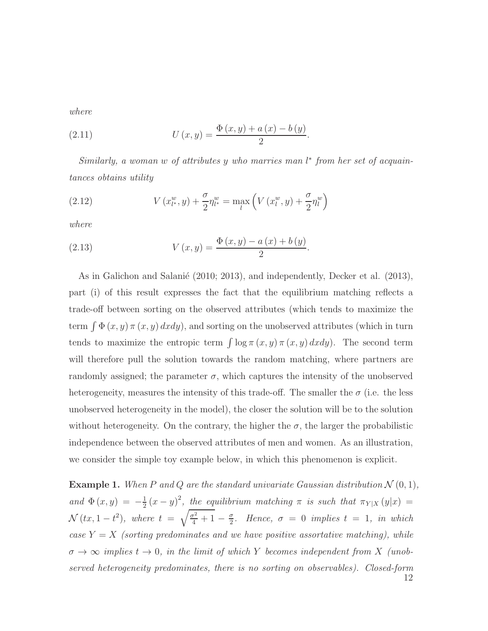where

(2.11) 
$$
U(x,y) = \frac{\Phi(x,y) + a(x) - b(y)}{2}.
$$

Similarly, a woman w of attributes y who marries man l<sup>∗</sup> from her set of acquaintances obtains utility

(2.12) 
$$
V(x_{l^*}^w, y) + \frac{\sigma}{2} \eta_{l^*}^w = \max_{l} \left( V(x_l^w, y) + \frac{\sigma}{2} \eta_l^w \right)
$$

where

(2.13) 
$$
V(x,y) = \frac{\Phi(x,y) - a(x) + b(y)}{2}.
$$

As in Galichon and Salanié (2010; 2013), and independently, Decker et al. (2013), part (i) of this result expresses the fact that the equilibrium matching reflects a trade-off between sorting on the observed attributes (which tends to maximize the term  $\int \Phi(x, y) \pi(x, y) dx dy$ , and sorting on the unobserved attributes (which in turn tends to maximize the entropic term  $\int \log \pi (x, y) \pi (x, y) dxdy$ . The second term will therefore pull the solution towards the random matching, where partners are randomly assigned; the parameter  $\sigma$ , which captures the intensity of the unobserved heterogeneity, measures the intensity of this trade-off. The smaller the  $\sigma$  (i.e. the less unobserved heterogeneity in the model), the closer the solution will be to the solution without heterogeneity. On the contrary, the higher the  $\sigma$ , the larger the probabilistic independence between the observed attributes of men and women. As an illustration, we consider the simple toy example below, in which this phenomenon is explicit.

**Example 1.** When P and Q are the standard univariate Gaussian distribution  $\mathcal{N}(0, 1)$ , and  $\Phi(x,y) = -\frac{1}{2}$  $\frac{1}{2}(x-y)^2$ , the equilibrium matching  $\pi$  is such that  $\pi_{Y|X}(y|x) =$  $\mathcal{N}(tx, 1-t^2)$ , where  $t = \sqrt{\frac{\sigma^2}{4} + 1} - \frac{\sigma}{2}$  $\frac{\sigma}{2}$ . Hence,  $\sigma = 0$  implies  $t = 1$ , in which case  $Y = X$  (sorting predominates and we have positive assortative matching), while  $\sigma \to \infty$  implies  $t \to 0$ , in the limit of which Y becomes independent from X (unobserved heterogeneity predominates, there is no sorting on observables). Closed-form 12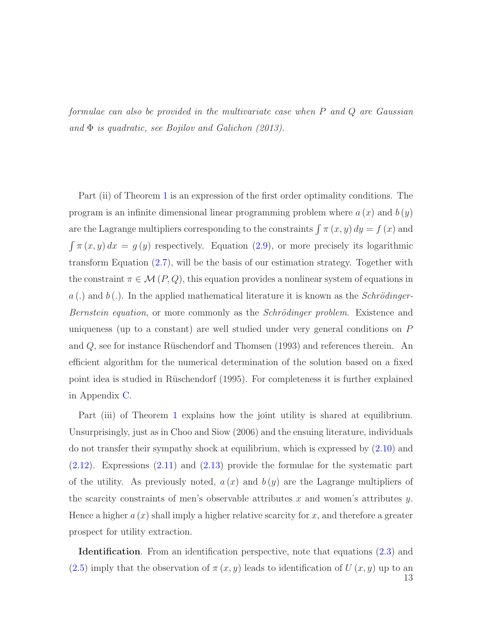formulae can also be provided in the multivariate case when P and Q are Gaussian and  $\Phi$  is quadratic, see Bojilov and Galichon (2013).

Part (ii) of Theorem [1](#page-10-0) is an expression of the first order optimality conditions. The program is an infinite dimensional linear programming problem where  $a(x)$  and  $b(y)$ are the Lagrange multipliers corresponding to the constraints  $\int \pi(x, y) dy = f(x)$  and  $\int \pi(x, y) dx = g(y)$  respectively. Equation [\(2.9\)](#page-45-0), or more precisely its logarithmic transform Equation [\(2.7\)](#page-45-1), will be the basis of our estimation strategy. Together with the constraint  $\pi \in \mathcal{M}(P,Q)$ , this equation provides a nonlinear system of equations in  $a(.)$  and  $b(.)$ . In the applied mathematical literature it is known as the *Schrödinger*-Bernstein equation, or more commonly as the *Schrödinger problem*. Existence and uniqueness (up to a constant) are well studied under very general conditions on P and  $Q$ , see for instance Rüschendorf and Thomsen (1993) and references therein. An efficient algorithm for the numerical determination of the solution based on a fixed point idea is studied in Rüschendorf (1995). For completeness it is further explained in Appendix [C.](#page-52-0)

Part (iii) of Theorem [1](#page-10-0) explains how the joint utility is shared at equilibrium. Unsurprisingly, just as in Choo and Siow (2006) and the ensuing literature, individuals do not transfer their sympathy shock at equilibrium, which is expressed by [\(2.10\)](#page-46-0) and [\(2.12\)](#page-48-0). Expressions [\(2.11\)](#page-47-0) and [\(2.13\)](#page-48-1) provide the formulae for the systematic part of the utility. As previously noted,  $a(x)$  and  $b(y)$  are the Lagrange multipliers of the scarcity constraints of men's observable attributes x and women's attributes y. Hence a higher  $a(x)$  shall imply a higher relative scarcity for x, and therefore a greater prospect for utility extraction.

Identification. From an identification perspective, note that equations [\(2.3\)](#page-42-0) and [\(2.5\)](#page-43-0) imply that the observation of  $\pi(x, y)$  leads to identification of  $U(x, y)$  up to an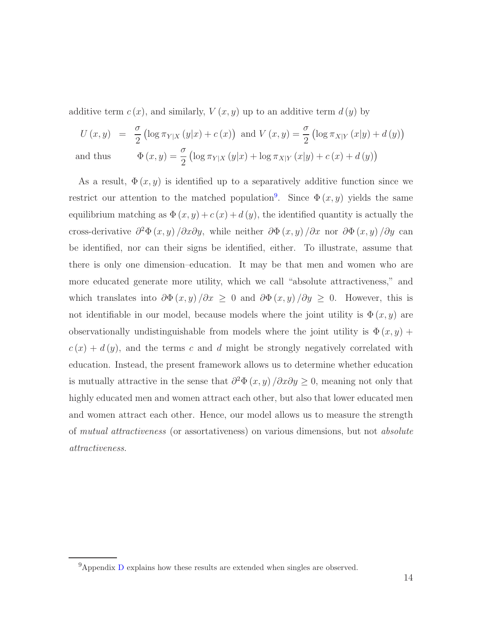additive term  $c(x)$ , and similarly,  $V(x, y)$  up to an additive term  $d(y)$  by

$$
U(x,y) = \frac{\sigma}{2} \left( \log \pi_{Y|X}(y|x) + c(x) \right) \text{ and } V(x,y) = \frac{\sigma}{2} \left( \log \pi_{X|Y}(x|y) + d(y) \right)
$$
  
and thus 
$$
\Phi(x,y) = \frac{\sigma}{2} \left( \log \pi_{Y|X}(y|x) + \log \pi_{X|Y}(x|y) + c(x) + d(y) \right)
$$

As a result,  $\Phi(x, y)$  is identified up to a separatively additive function since we restrict our attention to the matched population<sup>[9](#page-13-0)</sup>. Since  $\Phi(x, y)$  yields the same equilibrium matching as  $\Phi(x, y) + c(x) + d(y)$ , the identified quantity is actually the cross-derivative  $\partial^2 \Phi(x, y) / \partial x \partial y$ , while neither  $\partial \Phi(x, y) / \partial x$  nor  $\partial \Phi(x, y) / \partial y$  can be identified, nor can their signs be identified, either. To illustrate, assume that there is only one dimension–education. It may be that men and women who are more educated generate more utility, which we call "absolute attractiveness," and which translates into  $\partial \Phi(x, y) / \partial x \geq 0$  and  $\partial \Phi(x, y) / \partial y \geq 0$ . However, this is not identifiable in our model, because models where the joint utility is  $\Phi(x, y)$  are observationally undistinguishable from models where the joint utility is  $\Phi(x, y)$  +  $c(x) + d(y)$ , and the terms c and d might be strongly negatively correlated with education. Instead, the present framework allows us to determine whether education is mutually attractive in the sense that  $\partial^2 \Phi(x, y) / \partial x \partial y \geq 0$ , meaning not only that highly educated men and women attract each other, but also that lower educated men and women attract each other. Hence, our model allows us to measure the strength of mutual attractiveness (or assortativeness) on various dimensions, but not absolute attractiveness.

<span id="page-13-0"></span><sup>&</sup>lt;sup>9</sup>Appendix [D](#page-53-0) explains how these results are extended when singles are observed.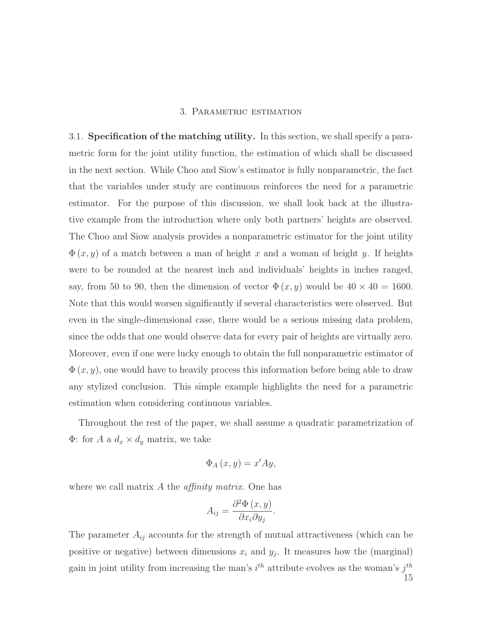### 3. PARAMETRIC ESTIMATION

<span id="page-14-0"></span>3.1. Specification of the matching utility. In this section, we shall specify a parametric form for the joint utility function, the estimation of which shall be discussed in the next section. While Choo and Siow's estimator is fully nonparametric, the fact that the variables under study are continuous reinforces the need for a parametric estimator. For the purpose of this discussion, we shall look back at the illustrative example from the introduction where only both partners' heights are observed. The Choo and Siow analysis provides a nonparametric estimator for the joint utility  $\Phi(x, y)$  of a match between a man of height x and a woman of height y. If heights were to be rounded at the nearest inch and individuals' heights in inches ranged, say, from 50 to 90, then the dimension of vector  $\Phi(x, y)$  would be  $40 \times 40 = 1600$ . Note that this would worsen significantly if several characteristics were observed. But even in the single-dimensional case, there would be a serious missing data problem, since the odds that one would observe data for every pair of heights are virtually zero. Moreover, even if one were lucky enough to obtain the full nonparametric estimator of  $\Phi(x, y)$ , one would have to heavily process this information before being able to draw any stylized conclusion. This simple example highlights the need for a parametric estimation when considering continuous variables.

Throughout the rest of the paper, we shall assume a quadratic parametrization of Φ: for *A* a  $d_x \times d_y$  matrix, we take

$$
\Phi_A(x, y) = x'Ay,
$$

where we call matrix  $A$  the *affinity matrix*. One has

$$
A_{ij} = \frac{\partial^2 \Phi(x, y)}{\partial x_i \partial y_j}.
$$

The parameter  $A_{ij}$  accounts for the strength of mutual attractiveness (which can be positive or negative) between dimensions  $x_i$  and  $y_j$ . It measures how the (marginal) gain in joint utility from increasing the man's  $i^{th}$  attribute evolves as the woman's  $j^{th}$ 15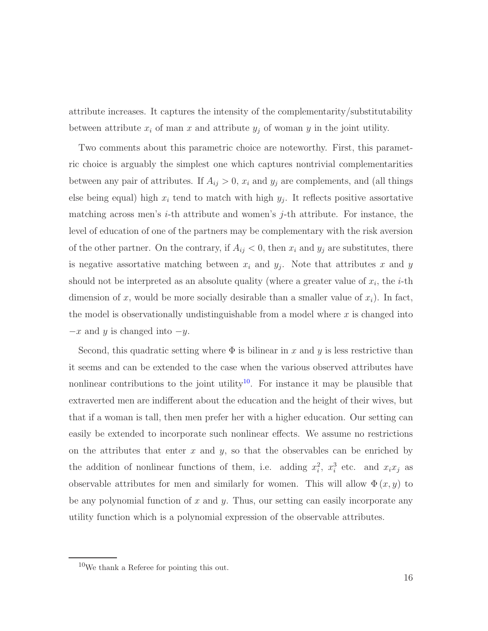attribute increases. It captures the intensity of the complementarity/substitutability between attribute  $x_i$  of man x and attribute  $y_j$  of woman y in the joint utility.

Two comments about this parametric choice are noteworthy. First, this parametric choice is arguably the simplest one which captures nontrivial complementarities between any pair of attributes. If  $A_{ij} > 0$ ,  $x_i$  and  $y_j$  are complements, and (all things else being equal) high  $x_i$  tend to match with high  $y_j$ . It reflects positive assortative matching across men's  $i$ -th attribute and women's  $j$ -th attribute. For instance, the level of education of one of the partners may be complementary with the risk aversion of the other partner. On the contrary, if  $A_{ij} < 0$ , then  $x_i$  and  $y_j$  are substitutes, there is negative assortative matching between  $x_i$  and  $y_j$ . Note that attributes x and y should not be interpreted as an absolute quality (where a greater value of  $x_i$ , the *i*-th dimension of x, would be more socially desirable than a smaller value of  $x_i$ ). In fact, the model is observationally undistinguishable from a model where  $x$  is changed into  $-x$  and y is changed into  $-y$ .

Second, this quadratic setting where  $\Phi$  is bilinear in x and y is less restrictive than it seems and can be extended to the case when the various observed attributes have nonlinear contributions to the joint utility<sup>[10](#page-15-0)</sup>. For instance it may be plausible that extraverted men are indifferent about the education and the height of their wives, but that if a woman is tall, then men prefer her with a higher education. Our setting can easily be extended to incorporate such nonlinear effects. We assume no restrictions on the attributes that enter  $x$  and  $y$ , so that the observables can be enriched by the addition of nonlinear functions of them, i.e. adding  $x_i^2$ ,  $x_i^3$  etc. and  $x_i x_j$  as observable attributes for men and similarly for women. This will allow  $\Phi(x, y)$  to be any polynomial function of  $x$  and  $y$ . Thus, our setting can easily incorporate any utility function which is a polynomial expression of the observable attributes.

<span id="page-15-0"></span><sup>10</sup>We thank a Referee for pointing this out.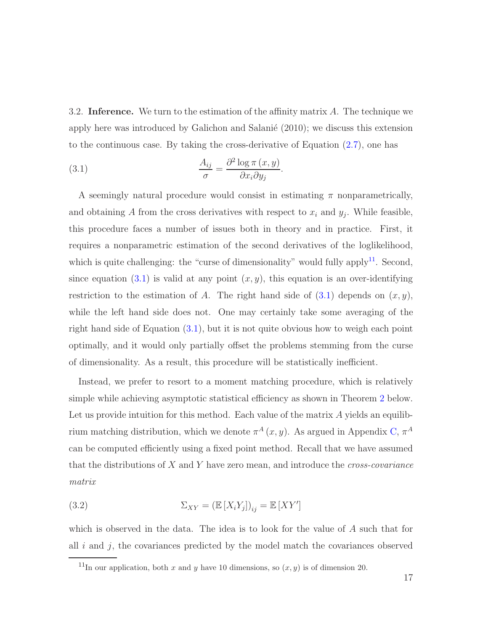<span id="page-16-1"></span>3.2. Inference. We turn to the estimation of the affinity matrix A. The technique we apply here was introduced by Galichon and Salanié (2010); we discuss this extension to the continuous case. By taking the cross-derivative of Equation [\(2.7\)](#page-45-1), one has

(3.1) 
$$
\frac{A_{ij}}{\sigma} = \frac{\partial^2 \log \pi (x, y)}{\partial x_i \partial y_j}.
$$

A seemingly natural procedure would consist in estimating  $\pi$  nonparametrically, and obtaining A from the cross derivatives with respect to  $x_i$  and  $y_j$ . While feasible, this procedure faces a number of issues both in theory and in practice. First, it requires a nonparametric estimation of the second derivatives of the loglikelihood, which is quite challenging: the "curse of dimensionality" would fully apply<sup>[11](#page-16-0)</sup>. Second, since equation [\(3.1\)](#page-52-1) is valid at any point  $(x, y)$ , this equation is an over-identifying restriction to the estimation of A. The right hand side of  $(3.1)$  depends on  $(x, y)$ , while the left hand side does not. One may certainly take some averaging of the right hand side of Equation [\(3.1\)](#page-52-1), but it is not quite obvious how to weigh each point optimally, and it would only partially offset the problems stemming from the curse of dimensionality. As a result, this procedure will be statistically inefficient.

Instead, we prefer to resort to a moment matching procedure, which is relatively simple while achieving asymptotic statistical efficiency as shown in Theorem [2](#page-25-0) below. Let us provide intuition for this method. Each value of the matrix A yields an equilibrium matching distribution, which we denote  $\pi^{A}(x, y)$ . As argued in Appendix [C,](#page-52-0)  $\pi^{A}$ can be computed efficiently using a fixed point method. Recall that we have assumed that the distributions of  $X$  and  $Y$  have zero mean, and introduce the *cross-covariance* matrix

(3.2) 
$$
\Sigma_{XY} = (\mathbb{E}[X_i Y_j])_{ij} = \mathbb{E}[XY']
$$

which is observed in the data. The idea is to look for the value of A such that for all  $i$  and  $j$ , the covariances predicted by the model match the covariances observed

<span id="page-16-0"></span><sup>&</sup>lt;sup>11</sup>In our application, both x and y have 10 dimensions, so  $(x, y)$  is of dimension 20.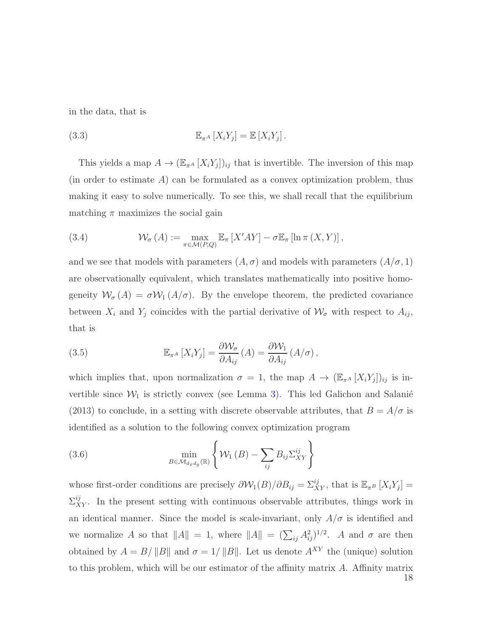in the data, that is

(3.3) 
$$
\mathbb{E}_{\pi^A}[X_i Y_j] = \mathbb{E}[X_i Y_j].
$$

This yields a map  $A \to (\mathbb{E}_{\pi^A}[X_i Y_j])_{ij}$  that is invertible. The inversion of this map (in order to estimate  $A$ ) can be formulated as a convex optimization problem, thus making it easy to solve numerically. To see this, we shall recall that the equilibrium matching  $\pi$  maximizes the social gain

(3.4) 
$$
\mathcal{W}_{\sigma}(A) := \max_{\pi \in \mathcal{M}(P,Q)} \mathbb{E}_{\pi} \left[ X'AY \right] - \sigma \mathbb{E}_{\pi} \left[ \ln \pi \left( X, Y \right) \right],
$$

and we see that models with parameters  $(A, \sigma)$  and models with parameters  $(A/\sigma, 1)$ are observationally equivalent, which translates mathematically into positive homogeneity  $W_{\sigma}(A) = \sigma W_1(A/\sigma)$ . By the envelope theorem, the predicted covariance between  $X_i$  and  $Y_j$  coincides with the partial derivative of  $\mathcal{W}_{\sigma}$  with respect to  $A_{ij}$ , that is

<span id="page-17-0"></span>(3.5) 
$$
\mathbb{E}_{\pi^A}[X_i Y_j] = \frac{\partial \mathcal{W}_{\sigma}}{\partial A_{ij}}(A) = \frac{\partial \mathcal{W}_1}{\partial A_{ij}}(A/\sigma),
$$

which implies that, upon normalization  $\sigma = 1$ , the map  $A \to (\mathbb{E}_{\pi^A}[X_i Y_j])_{ij}$  is invertible since  $W_1$  is strictly convex (see Lemma [3\)](#page-47-1). This led Galichon and Salanié (2013) to conclude, in a setting with discrete observable attributes, that  $B = A/\sigma$  is identified as a solution to the following convex optimization program

(3.6) 
$$
\min_{B \in \mathcal{M}_{d_x d_y}(\mathbb{R})} \left\{ \mathcal{W}_1(B) - \sum_{ij} B_{ij} \Sigma_{XY}^{ij} \right\}
$$

whose first-order conditions are precisely  $\partial W_1(B)/\partial B_{ij} = \sum_{XY}^{ij}$ , that is  $\mathbb{E}_{\pi^B}[X_iY_j] =$  $\Sigma_{XY}^{ij}$ . In the present setting with continuous observable attributes, things work in an identical manner. Since the model is scale-invariant, only  $A/\sigma$  is identified and we normalize A so that  $||A|| = 1$ , where  $||A|| = (\sum_{ij} A_{ij}^2)^{1/2}$ . A and  $\sigma$  are then obtained by  $A = B / ||B||$  and  $\sigma = 1/||B||$ . Let us denote  $A^{XY}$  the (unique) solution to this problem, which will be our estimator of the affinity matrix A. Affinity matrix 18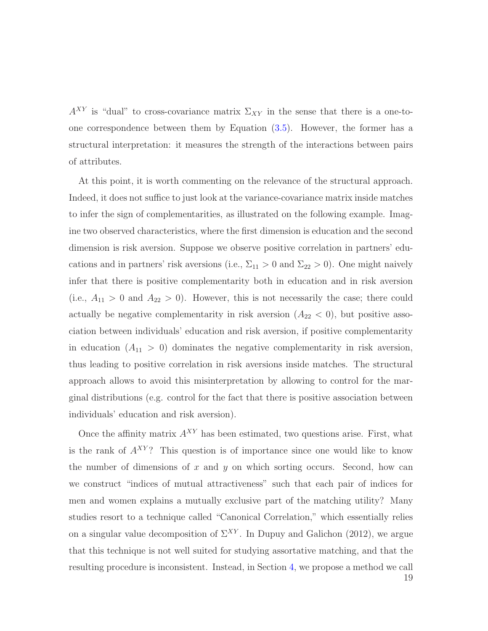$A^{XY}$  is "dual" to cross-covariance matrix  $\Sigma_{XY}$  in the sense that there is a one-toone correspondence between them by Equation [\(3.5\)](#page-17-0). However, the former has a structural interpretation: it measures the strength of the interactions between pairs of attributes.

At this point, it is worth commenting on the relevance of the structural approach. Indeed, it does not suffice to just look at the variance-covariance matrix inside matches to infer the sign of complementarities, as illustrated on the following example. Imagine two observed characteristics, where the first dimension is education and the second dimension is risk aversion. Suppose we observe positive correlation in partners' educations and in partners' risk aversions (i.e.,  $\Sigma_{11} > 0$  and  $\Sigma_{22} > 0$ ). One might naively infer that there is positive complementarity both in education and in risk aversion (i.e.,  $A_{11} > 0$  and  $A_{22} > 0$ ). However, this is not necessarily the case; there could actually be negative complementarity in risk aversion  $(A_{22} < 0)$ , but positive association between individuals' education and risk aversion, if positive complementarity in education  $(A_{11} > 0)$  dominates the negative complementarity in risk aversion, thus leading to positive correlation in risk aversions inside matches. The structural approach allows to avoid this misinterpretation by allowing to control for the marginal distributions (e.g. control for the fact that there is positive association between individuals' education and risk aversion).

Once the affinity matrix  $A^{XY}$  has been estimated, two questions arise. First, what is the rank of  $A^{XY}$ ? This question is of importance since one would like to know the number of dimensions of  $x$  and  $y$  on which sorting occurs. Second, how can we construct "indices of mutual attractiveness" such that each pair of indices for men and women explains a mutually exclusive part of the matching utility? Many studies resort to a technique called "Canonical Correlation," which essentially relies on a singular value decomposition of  $\Sigma^{XY}$ . In Dupuy and Galichon (2012), we argue that this technique is not well suited for studying assortative matching, and that the resulting procedure is inconsistent. Instead, in Section [4,](#page-20-0) we propose a method we call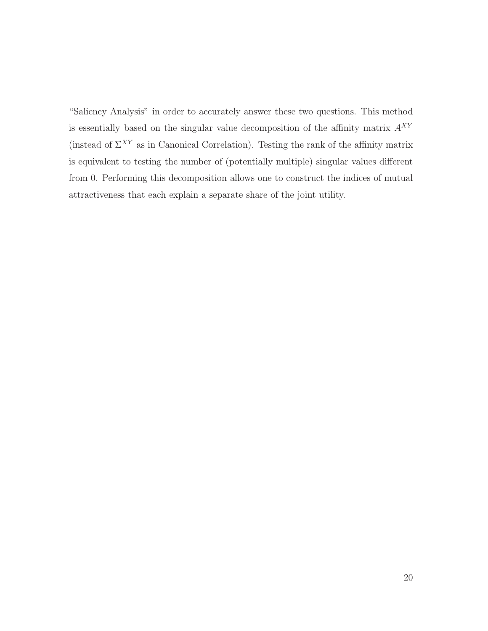"Saliency Analysis" in order to accurately answer these two questions. This method is essentially based on the singular value decomposition of the affinity matrix  $A^{XY}$ (instead of  $\Sigma^{XY}$  as in Canonical Correlation). Testing the rank of the affinity matrix is equivalent to testing the number of (potentially multiple) singular values different from 0. Performing this decomposition allows one to construct the indices of mutual attractiveness that each explain a separate share of the joint utility.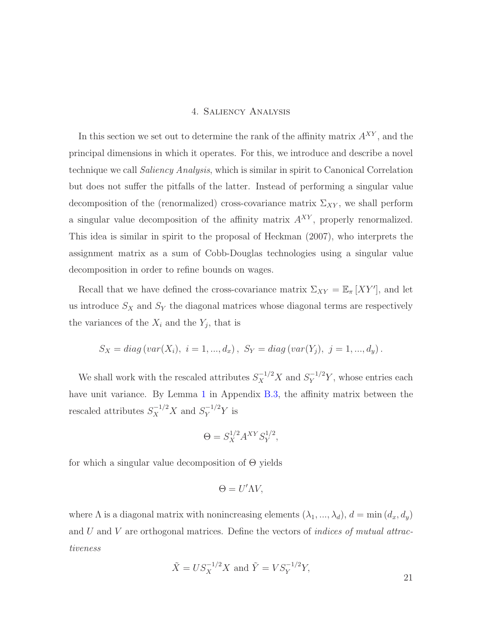# 4. Saliency Analysis

<span id="page-20-0"></span>In this section we set out to determine the rank of the affinity matrix  $A^{XY}$ , and the principal dimensions in which it operates. For this, we introduce and describe a novel technique we call Saliency Analysis, which is similar in spirit to Canonical Correlation but does not suffer the pitfalls of the latter. Instead of performing a singular value decomposition of the (renormalized) cross-covariance matrix  $\Sigma_{XY}$ , we shall perform a singular value decomposition of the affinity matrix  $A^{XY}$ , properly renormalized. This idea is similar in spirit to the proposal of Heckman (2007), who interprets the assignment matrix as a sum of Cobb-Douglas technologies using a singular value decomposition in order to refine bounds on wages.

Recall that we have defined the cross-covariance matrix  $\Sigma_{XY} = \mathbb{E}_{\pi} [XY']$ , and let us introduce  $S_X$  and  $S_Y$  the diagonal matrices whose diagonal terms are respectively the variances of the  $X_i$  and the  $Y_j$ , that is

$$
S_X = diag\left( var(X_i), i = 1, ..., d_x \right), S_Y = diag\left( var(Y_j), j = 1, ..., d_y \right).
$$

We shall work with the rescaled attributes  $S_X^{-1/2}X$  and  $S_Y^{-1/2}Y$ , whose entries each have unit variance. By Lemma [1](#page-45-2) in Appendix [B.3,](#page-49-0) the affinity matrix between the rescaled attributes  $S_X^{-1/2}X$  and  $S_Y^{-1/2}Y$  is

$$
\Theta = S_X^{1/2} A^{XY} S_Y^{1/2},
$$

for which a singular value decomposition of  $\Theta$  yields

$$
\Theta = U'\Lambda V,
$$

where  $\Lambda$  is a diagonal matrix with nonincreasing elements  $(\lambda_1, ..., \lambda_d)$ ,  $d = \min(d_x, d_y)$ and U and V are orthogonal matrices. Define the vectors of indices of mutual attractiveness

$$
\tilde{X} = US_X^{-1/2} X
$$
 and  $\tilde{Y} = VS_Y^{-1/2} Y$ , 21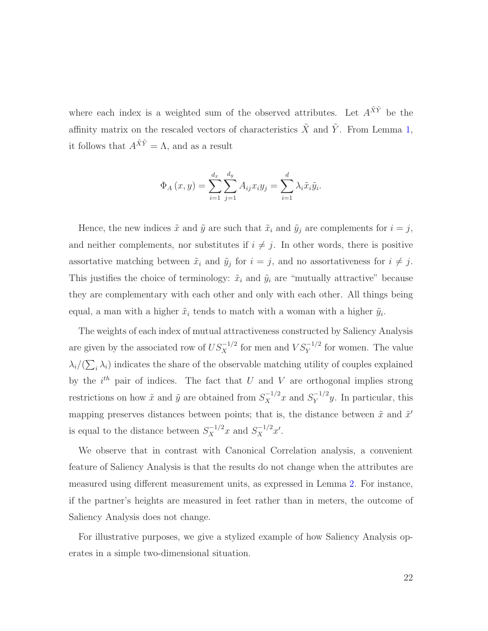where each index is a weighted sum of the observed attributes. Let  $A^{\tilde{X}\tilde{Y}}$  be the affinity matrix on the rescaled vectors of characteristics  $\tilde{X}$  and  $\tilde{Y}$ . From Lemma [1,](#page-45-2) it follows that  $A^{\tilde X \tilde Y} = \Lambda,$  and as a result

$$
\Phi_A(x, y) = \sum_{i=1}^{d_x} \sum_{j=1}^{d_y} A_{ij} x_i y_j = \sum_{i=1}^{d} \lambda_i \tilde{x}_i \tilde{y}_i.
$$

Hence, the new indices  $\tilde{x}$  and  $\tilde{y}$  are such that  $\tilde{x}_i$  and  $\tilde{y}_j$  are complements for  $i = j$ , and neither complements, nor substitutes if  $i \neq j$ . In other words, there is positive assortative matching between  $\tilde{x}_i$  and  $\tilde{y}_j$  for  $i = j$ , and no assortativeness for  $i \neq j$ . This justifies the choice of terminology:  $\tilde{x}_i$  and  $\tilde{y}_i$  are "mutually attractive" because they are complementary with each other and only with each other. All things being equal, a man with a higher  $\tilde{x}_i$  tends to match with a woman with a higher  $\tilde{y}_i$ .

The weights of each index of mutual attractiveness constructed by Saliency Analysis are given by the associated row of  $US_X^{-1/2}$  for men and  $VS_Y^{-1/2}$  for women. The value  $\lambda_i/(\sum_i \lambda_i)$  indicates the share of the observable matching utility of couples explained by the  $i^{th}$  pair of indices. The fact that U and V are orthogonal implies strong restrictions on how  $\tilde{x}$  and  $\tilde{y}$  are obtained from  $S_X^{-1/2}x$  and  $S_Y^{-1/2}$  $y_Y^{-1/2}y$ . In particular, this mapping preserves distances between points; that is, the distance between  $\tilde{x}$  and  $\tilde{x}'$ is equal to the distance between  $S_X^{-1/2}x$  and  $S_X^{-1/2}x'$ .

We observe that in contrast with Canonical Correlation analysis, a convenient feature of Saliency Analysis is that the results do not change when the attributes are measured using different measurement units, as expressed in Lemma [2.](#page-46-1) For instance, if the partner's heights are measured in feet rather than in meters, the outcome of Saliency Analysis does not change.

For illustrative purposes, we give a stylized example of how Saliency Analysis operates in a simple two-dimensional situation.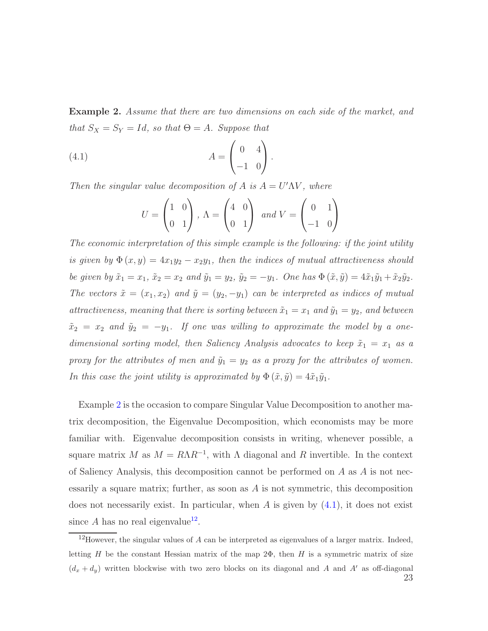<span id="page-22-0"></span>Example 2. Assume that there are two dimensions on each side of the market, and that  $S_X = S_Y = Id$ , so that  $\Theta = A$ . Suppose that

$$
(4.1) \qquad \qquad A = \begin{pmatrix} 0 & 4 \\ -1 & 0 \end{pmatrix}.
$$

Then the singular value decomposition of A is  $A = U' \Lambda V$ , where

$$
U = \begin{pmatrix} 1 & 0 \\ 0 & 1 \end{pmatrix}, \ \Lambda = \begin{pmatrix} 4 & 0 \\ 0 & 1 \end{pmatrix} \ and \ V = \begin{pmatrix} 0 & 1 \\ -1 & 0 \end{pmatrix}
$$

The economic interpretation of this simple example is the following: if the joint utility is given by  $\Phi(x,y) = 4x_1y_2 - x_2y_1$ , then the indices of mutual attractiveness should be given by  $\tilde{x}_1 = x_1$ ,  $\tilde{x}_2 = x_2$  and  $\tilde{y}_1 = y_2$ ,  $\tilde{y}_2 = -y_1$ . One has  $\Phi(\tilde{x}, \tilde{y}) = 4\tilde{x}_1\tilde{y}_1 + \tilde{x}_2\tilde{y}_2$ . The vectors  $\tilde{x} = (x_1, x_2)$  and  $\tilde{y} = (y_2, -y_1)$  can be interpreted as indices of mutual attractiveness, meaning that there is sorting between  $\tilde{x}_1 = x_1$  and  $\tilde{y}_1 = y_2$ , and between  $\tilde{x}_2 = x_2$  and  $\tilde{y}_2 = -y_1$ . If one was willing to approximate the model by a onedimensional sorting model, then Saliency Analysis advocates to keep  $\tilde{x}_1 = x_1$  as a proxy for the attributes of men and  $\tilde{y}_1 = y_2$  as a proxy for the attributes of women. In this case the joint utility is approximated by  $\Phi(\tilde{x}, \tilde{y}) = 4\tilde{x}_1\tilde{y}_1$ .

Example [2](#page-22-0) is the occasion to compare Singular Value Decomposition to another matrix decomposition, the Eigenvalue Decomposition, which economists may be more familiar with. Eigenvalue decomposition consists in writing, whenever possible, a square matrix M as  $M = R\Lambda R^{-1}$ , with  $\Lambda$  diagonal and R invertible. In the context of Saliency Analysis, this decomposition cannot be performed on  $A$  as  $A$  is not necessarily a square matrix; further, as soon as A is not symmetric, this decomposition does not necessarily exist. In particular, when  $A$  is given by  $(4.1)$ , it does not exist since A has no real eigenvalue<sup>[12](#page-22-1)</sup>.

<span id="page-22-1"></span><sup>&</sup>lt;sup>12</sup>However, the singular values of A can be interpreted as eigenvalues of a larger matrix. Indeed, letting H be the constant Hessian matrix of the map  $2\Phi$ , then H is a symmetric matrix of size  $(d_x + d_y)$  written blockwise with two zero blocks on its diagonal and A and A' as off-diagonal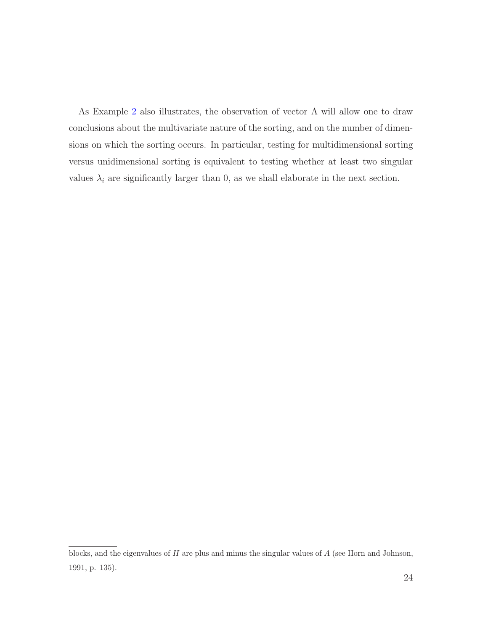As Example [2](#page-22-0) also illustrates, the observation of vector  $\Lambda$  will allow one to draw conclusions about the multivariate nature of the sorting, and on the number of dimensions on which the sorting occurs. In particular, testing for multidimensional sorting versus unidimensional sorting is equivalent to testing whether at least two singular values  $\lambda_i$  are significantly larger than 0, as we shall elaborate in the next section.

blocks, and the eigenvalues of H are plus and minus the singular values of A (see Horn and Johnson, 1991, p. 135).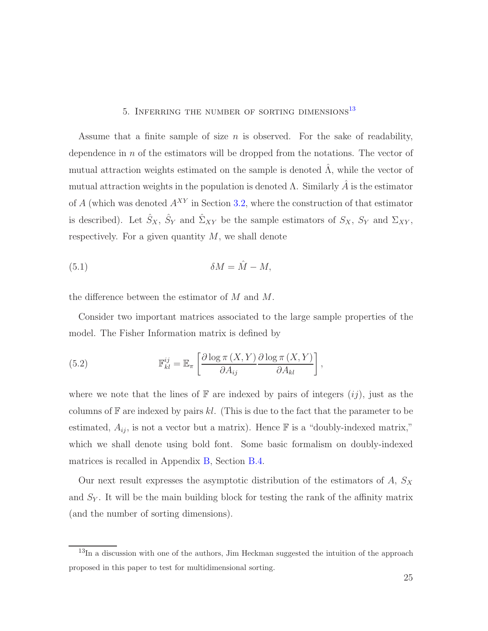# 5. INFERRING THE NUMBER OF SORTING DIMENSIONS<sup>[13](#page-24-1)</sup>

<span id="page-24-0"></span>Assume that a finite sample of size n is observed. For the sake of readability, dependence in  $n$  of the estimators will be dropped from the notations. The vector of mutual attraction weights estimated on the sample is denoted  $\Lambda$ , while the vector of mutual attraction weights in the population is denoted  $\Lambda$ . Similarly  $\hat{A}$  is the estimator of A (which was denoted  $A^{XY}$  in Section [3.2,](#page-16-1) where the construction of that estimator is described). Let  $\hat{S}_X$ ,  $\hat{S}_Y$  and  $\hat{\Sigma}_{XY}$  be the sample estimators of  $S_X$ ,  $S_Y$  and  $\Sigma_{XY}$ , respectively. For a given quantity  $M$ , we shall denote

$$
(5.1) \t\t \delta M = \hat{M} - M,
$$

the difference between the estimator of M and M.

Consider two important matrices associated to the large sample properties of the model. The Fisher Information matrix is defined by

<span id="page-24-2"></span>(5.2) 
$$
\mathbb{F}_{kl}^{ij} = \mathbb{E}_{\pi} \left[ \frac{\partial \log \pi (X, Y)}{\partial A_{ij}} \frac{\partial \log \pi (X, Y)}{\partial A_{kl}} \right],
$$

where we note that the lines of  $\mathbb F$  are indexed by pairs of integers  $(ij)$ , just as the columns of  $\mathbb F$  are indexed by pairs kl. (This is due to the fact that the parameter to be estimated,  $A_{ij}$ , is not a vector but a matrix). Hence  $\mathbb F$  is a "doubly-indexed matrix," which we shall denote using bold font. Some basic formalism on doubly-indexed matrices is recalled in Appendix [B,](#page-41-1) Section [B.4.](#page-50-0)

Our next result expresses the asymptotic distribution of the estimators of  $A$ ,  $S_X$ and  $S_Y$ . It will be the main building block for testing the rank of the affinity matrix (and the number of sorting dimensions).

<span id="page-24-1"></span> $^{13}$ In a discussion with one of the authors, Jim Heckman suggested the intuition of the approach proposed in this paper to test for multidimensional sorting.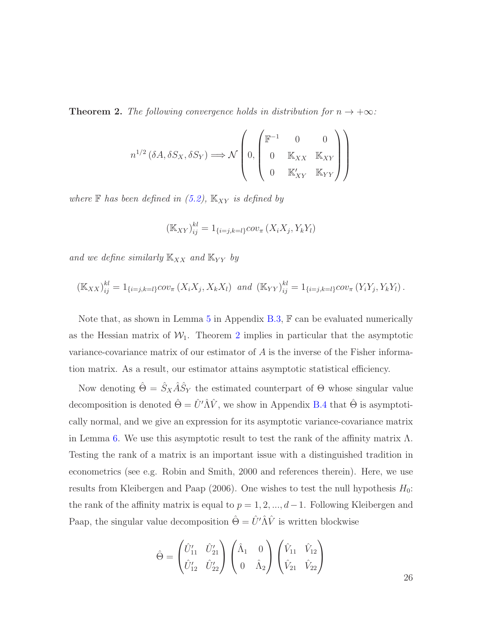<span id="page-25-0"></span>**Theorem 2.** The following convergence holds in distribution for  $n \to +\infty$ :

$$
n^{1/2} (\delta A, \delta S_X, \delta S_Y) \Longrightarrow \mathcal{N} \left( 0, \begin{pmatrix} \mathbb{F}^{-1} & 0 & 0 \\ 0 & \mathbb{K}_{XX} & \mathbb{K}_{XY} \\ 0 & \mathbb{K}_{XY}' & \mathbb{K}_{YY} \end{pmatrix} \right)
$$

where  $\mathbb F$  has been defined in [\(5.2\)](#page-24-2),  $\mathbb K_{XY}$  is defined by

$$
(\mathbb{K}_{XY})_{ij}^{kl} = 1_{\{i=j,k=l\}} cov_{\pi} (X_i X_j, Y_k Y_l)
$$

and we define similarly  $\mathbb{K}_{XX}$  and  $\mathbb{K}_{YY}$  by

$$
(\mathbb{K}_{XX})_{ij}^{kl} = 1_{\{i=j,k=l\}} cov_{\pi}(X_i X_j, X_k X_l) \text{ and } (\mathbb{K}_{YY})_{ij}^{kl} = 1_{\{i=j,k=l\}} cov_{\pi}(Y_i Y_j, Y_k Y_l).
$$

Note that, as shown in Lemma [5](#page-48-2) in Appendix [B.3,](#page-49-0)  $\mathbb F$  can be evaluated numerically as the Hessian matrix of  $W_1$ . Theorem [2](#page-25-0) implies in particular that the asymptotic variance-covariance matrix of our estimator of  $A$  is the inverse of the Fisher information matrix. As a result, our estimator attains asymptotic statistical efficiency.

Now denoting  $\hat{\Theta} = \hat{S}_X \hat{A} \hat{S}_Y$  the estimated counterpart of  $\Theta$  whose singular value decomposition is denoted  $\hat{\Theta} = \hat{U}' \hat{\Lambda} \hat{V}$ , we show in Appendix [B.4](#page-50-0) that  $\hat{\Theta}$  is asymptotically normal, and we give an expression for its asymptotic variance-covariance matrix in Lemma [6.](#page-50-1) We use this asymptotic result to test the rank of the affinity matrix  $\Lambda$ . Testing the rank of a matrix is an important issue with a distinguished tradition in econometrics (see e.g. Robin and Smith, 2000 and references therein). Here, we use results from Kleibergen and Paap (2006). One wishes to test the null hypothesis  $H_0$ : the rank of the affinity matrix is equal to  $p = 1, 2, ..., d-1$ . Following Kleibergen and Paap, the singular value decomposition  $\hat{\Theta} = \hat{U}' \hat{\Lambda} \hat{V}$  is written blockwise

$$
\hat{\Theta} = \begin{pmatrix} \hat{U}_{11}^{\prime} & \hat{U}_{21}^{\prime} \\ \hat{U}_{12}^{\prime} & \hat{U}_{22}^{\prime} \end{pmatrix} \begin{pmatrix} \hat{\Lambda}_{1} & 0 \\ 0 & \hat{\Lambda}_{2} \end{pmatrix} \begin{pmatrix} \hat{V}_{11} & \hat{V}_{12} \\ \hat{V}_{21} & \hat{V}_{22} \end{pmatrix}
$$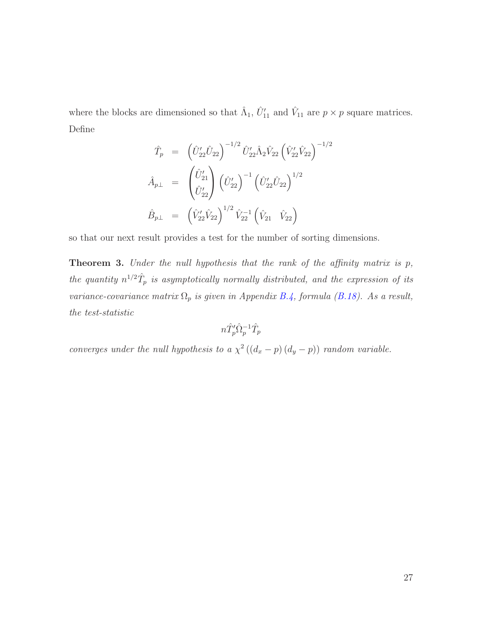where the blocks are dimensioned so that  $\hat{\Lambda}_1$ ,  $\hat{U}'_{11}$  and  $\hat{V}_{11}$  are  $p \times p$  square matrices. Define

$$
\hat{T}_p = (\hat{U}_{22}' \hat{U}_{22})^{-1/2} \hat{U}_{22}' \hat{\Lambda}_2 \hat{V}_{22} (\hat{V}_{22}' \hat{V}_{22})^{-1/2}
$$
\n
$$
\hat{A}_{p\perp} = (\hat{U}_{22}'') (\hat{U}_{22}')^{-1} (\hat{U}_{22}' \hat{U}_{22})^{1/2}
$$
\n
$$
\hat{B}_{p\perp} = (\hat{V}_{22}' \hat{V}_{22})^{1/2} \hat{V}_{22}^{-1} (\hat{V}_{21} \hat{V}_{22})
$$

so that our next result provides a test for the number of sorting dimensions.

**Theorem 3.** Under the null hypothesis that the rank of the affinity matrix is  $p$ , the quantity  $n^{1/2}$  $\hat{T}_p$  is asymptotically normally distributed, and the expression of its variance-covariance matrix  $\Omega_p$  is given in Appendix [B.4,](#page-50-0) formula [\(B.18\)](#page-51-0). As a result, the test-statistic

$$
n\hat{T}^{\prime}_{p}\hat{\Omega}_{p}^{-1}\hat{T}_{p}
$$

converges under the null hypothesis to a  $\chi^2((d_x-p)(d_y-p))$  random variable.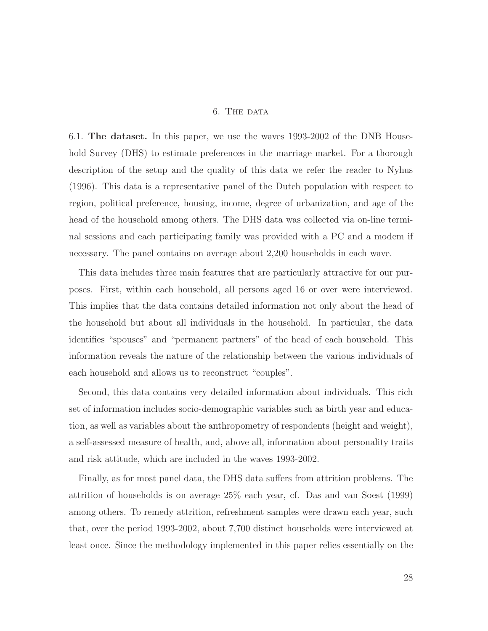# 6. THE DATA

<span id="page-27-0"></span>6.1. The dataset. In this paper, we use the waves 1993-2002 of the DNB Household Survey (DHS) to estimate preferences in the marriage market. For a thorough description of the setup and the quality of this data we refer the reader to Nyhus (1996). This data is a representative panel of the Dutch population with respect to region, political preference, housing, income, degree of urbanization, and age of the head of the household among others. The DHS data was collected via on-line terminal sessions and each participating family was provided with a PC and a modem if necessary. The panel contains on average about 2,200 households in each wave.

This data includes three main features that are particularly attractive for our purposes. First, within each household, all persons aged 16 or over were interviewed. This implies that the data contains detailed information not only about the head of the household but about all individuals in the household. In particular, the data identifies "spouses" and "permanent partners" of the head of each household. This information reveals the nature of the relationship between the various individuals of each household and allows us to reconstruct "couples".

Second, this data contains very detailed information about individuals. This rich set of information includes socio-demographic variables such as birth year and education, as well as variables about the anthropometry of respondents (height and weight), a self-assessed measure of health, and, above all, information about personality traits and risk attitude, which are included in the waves 1993-2002.

Finally, as for most panel data, the DHS data suffers from attrition problems. The attrition of households is on average 25% each year, cf. Das and van Soest (1999) among others. To remedy attrition, refreshment samples were drawn each year, such that, over the period 1993-2002, about 7,700 distinct households were interviewed at least once. Since the methodology implemented in this paper relies essentially on the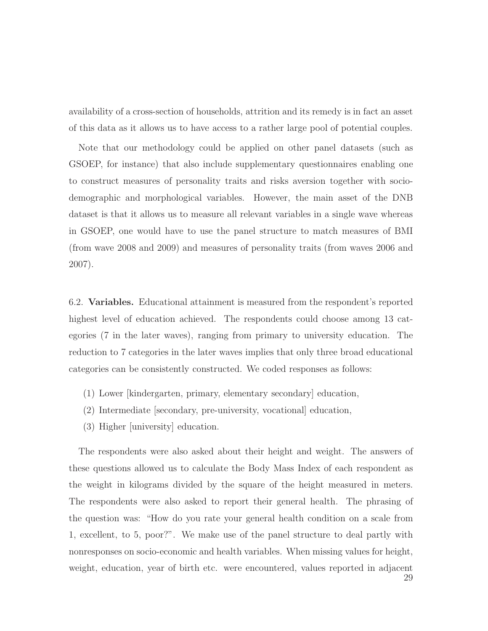availability of a cross-section of households, attrition and its remedy is in fact an asset of this data as it allows us to have access to a rather large pool of potential couples.

Note that our methodology could be applied on other panel datasets (such as GSOEP, for instance) that also include supplementary questionnaires enabling one to construct measures of personality traits and risks aversion together with sociodemographic and morphological variables. However, the main asset of the DNB dataset is that it allows us to measure all relevant variables in a single wave whereas in GSOEP, one would have to use the panel structure to match measures of BMI (from wave 2008 and 2009) and measures of personality traits (from waves 2006 and 2007).

6.2. Variables. Educational attainment is measured from the respondent's reported highest level of education achieved. The respondents could choose among 13 categories (7 in the later waves), ranging from primary to university education. The reduction to 7 categories in the later waves implies that only three broad educational categories can be consistently constructed. We coded responses as follows:

- (1) Lower [kindergarten, primary, elementary secondary] education,
- (2) Intermediate [secondary, pre-university, vocational] education,
- (3) Higher [university] education.

The respondents were also asked about their height and weight. The answers of these questions allowed us to calculate the Body Mass Index of each respondent as the weight in kilograms divided by the square of the height measured in meters. The respondents were also asked to report their general health. The phrasing of the question was: "How do you rate your general health condition on a scale from 1, excellent, to 5, poor?". We make use of the panel structure to deal partly with nonresponses on socio-economic and health variables. When missing values for height, weight, education, year of birth etc. were encountered, values reported in adjacent 29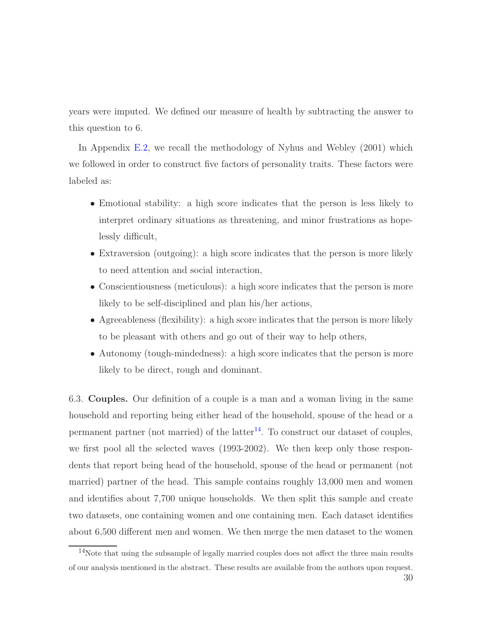years were imputed. We defined our measure of health by subtracting the answer to this question to 6.

In Appendix [E.2,](#page-57-0) we recall the methodology of Nyhus and Webley (2001) which we followed in order to construct five factors of personality traits. These factors were labeled as:

- Emotional stability: a high score indicates that the person is less likely to interpret ordinary situations as threatening, and minor frustrations as hopelessly difficult,
- Extraversion (outgoing): a high score indicates that the person is more likely to need attention and social interaction,
- Conscientiousness (meticulous): a high score indicates that the person is more likely to be self-disciplined and plan his/her actions,
- Agreeableness (flexibility): a high score indicates that the person is more likely to be pleasant with others and go out of their way to help others,
- Autonomy (tough-mindedness): a high score indicates that the person is more likely to be direct, rough and dominant.

6.3. Couples. Our definition of a couple is a man and a woman living in the same household and reporting being either head of the household, spouse of the head or a permanent partner (not married) of the latter<sup>[14](#page-29-0)</sup>. To construct our dataset of couples, we first pool all the selected waves (1993-2002). We then keep only those respondents that report being head of the household, spouse of the head or permanent (not married) partner of the head. This sample contains roughly 13,000 men and women and identifies about 7,700 unique households. We then split this sample and create two datasets, one containing women and one containing men. Each dataset identifies about 6,500 different men and women. We then merge the men dataset to the women

<span id="page-29-0"></span><sup>&</sup>lt;sup>14</sup>Note that using the subsample of legally married couples does not affect the three main results of our analysis mentioned in the abstract. These results are available from the authors upon request.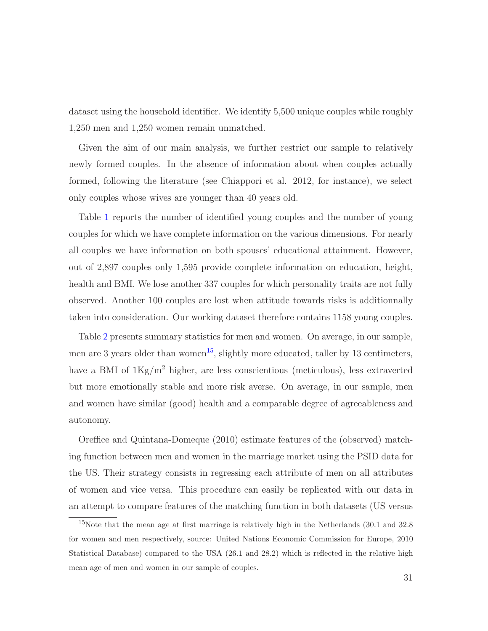dataset using the household identifier. We identify 5,500 unique couples while roughly 1,250 men and 1,250 women remain unmatched.

Given the aim of our main analysis, we further restrict our sample to relatively newly formed couples. In the absence of information about when couples actually formed, following the literature (see Chiappori et al. 2012, for instance), we select only couples whose wives are younger than 40 years old.

Table [1](#page-67-0) reports the number of identified young couples and the number of young couples for which we have complete information on the various dimensions. For nearly all couples we have information on both spouses' educational attainment. However, out of 2,897 couples only 1,595 provide complete information on education, height, health and BMI. We lose another 337 couples for which personality traits are not fully observed. Another 100 couples are lost when attitude towards risks is additionnally taken into consideration. Our working dataset therefore contains 1158 young couples.

Table [2](#page-68-0) presents summary statistics for men and women. On average, in our sample, men are 3 years older than women<sup>[15](#page-30-0)</sup>, slightly more educated, taller by 13 centimeters, have a BMI of  $1\text{Kg/m}^2$  higher, are less conscientious (meticulous), less extraverted but more emotionally stable and more risk averse. On average, in our sample, men and women have similar (good) health and a comparable degree of agreeableness and autonomy.

Oreffice and Quintana-Domeque (2010) estimate features of the (observed) matching function between men and women in the marriage market using the PSID data for the US. Their strategy consists in regressing each attribute of men on all attributes of women and vice versa. This procedure can easily be replicated with our data in an attempt to compare features of the matching function in both datasets (US versus

<span id="page-30-0"></span><sup>15</sup>Note that the mean age at first marriage is relatively high in the Netherlands (30.1 and 32.8 for women and men respectively, source: United Nations Economic Commission for Europe, 2010 Statistical Database) compared to the USA (26.1 and 28.2) which is reflected in the relative high mean age of men and women in our sample of couples.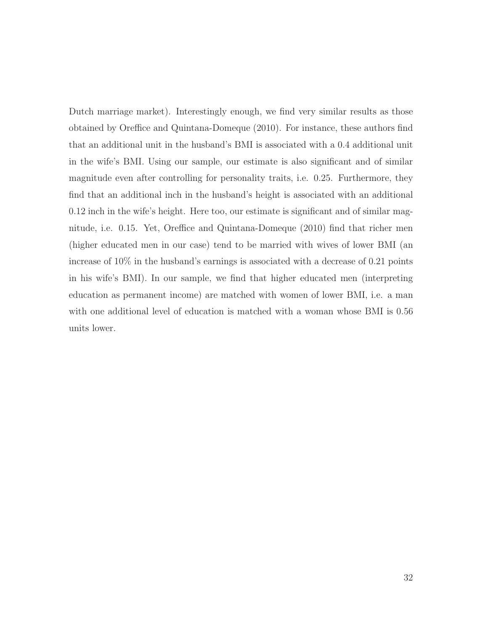Dutch marriage market). Interestingly enough, we find very similar results as those obtained by Oreffice and Quintana-Domeque (2010). For instance, these authors find that an additional unit in the husband's BMI is associated with a 0.4 additional unit in the wife's BMI. Using our sample, our estimate is also significant and of similar magnitude even after controlling for personality traits, i.e. 0.25. Furthermore, they find that an additional inch in the husband's height is associated with an additional 0.12 inch in the wife's height. Here too, our estimate is significant and of similar magnitude, i.e. 0.15. Yet, Oreffice and Quintana-Domeque (2010) find that richer men (higher educated men in our case) tend to be married with wives of lower BMI (an increase of 10% in the husband's earnings is associated with a decrease of 0.21 points in his wife's BMI). In our sample, we find that higher educated men (interpreting education as permanent income) are matched with women of lower BMI, i.e. a man with one additional level of education is matched with a woman whose BMI is 0.56 units lower.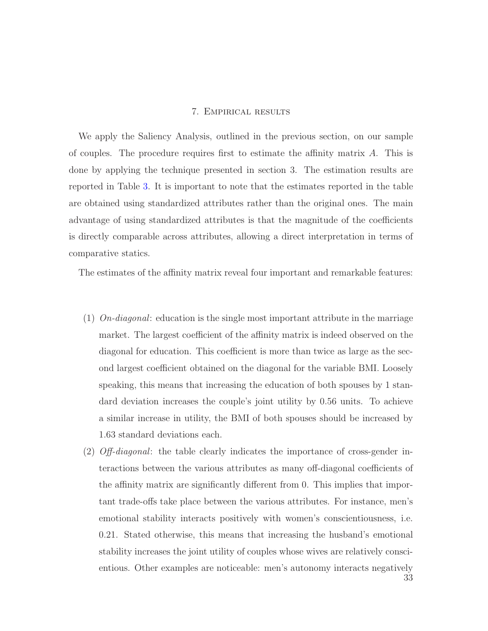# 7. Empirical results

<span id="page-32-0"></span>We apply the Saliency Analysis, outlined in the previous section, on our sample of couples. The procedure requires first to estimate the affinity matrix A. This is done by applying the technique presented in section 3. The estimation results are reported in Table [3.](#page-69-0) It is important to note that the estimates reported in the table are obtained using standardized attributes rather than the original ones. The main advantage of using standardized attributes is that the magnitude of the coefficients is directly comparable across attributes, allowing a direct interpretation in terms of comparative statics.

The estimates of the affinity matrix reveal four important and remarkable features:

- (1)  $On-diagonal:$  education is the single most important attribute in the marriage market. The largest coefficient of the affinity matrix is indeed observed on the diagonal for education. This coefficient is more than twice as large as the second largest coefficient obtained on the diagonal for the variable BMI. Loosely speaking, this means that increasing the education of both spouses by 1 standard deviation increases the couple's joint utility by 0.56 units. To achieve a similar increase in utility, the BMI of both spouses should be increased by 1.63 standard deviations each.
- (2) Off-diagonal: the table clearly indicates the importance of cross-gender interactions between the various attributes as many off-diagonal coefficients of the affinity matrix are significantly different from 0. This implies that important trade-offs take place between the various attributes. For instance, men's emotional stability interacts positively with women's conscientiousness, i.e. 0.21. Stated otherwise, this means that increasing the husband's emotional stability increases the joint utility of couples whose wives are relatively conscientious. Other examples are noticeable: men's autonomy interacts negatively 33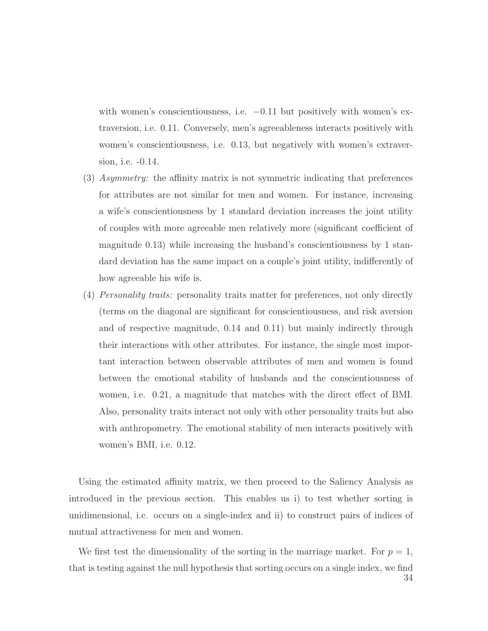with women's conscientiousness, i.e.  $-0.11$  but positively with women's extraversion, i.e. 0.11. Conversely, men's agreeableness interacts positively with women's conscientiousness, i.e. 0.13, but negatively with women's extraversion, i.e. -0.14.

- (3) Asymmetry: the affinity matrix is not symmetric indicating that preferences for attributes are not similar for men and women. For instance, increasing a wife's conscientiousness by 1 standard deviation increases the joint utility of couples with more agreeable men relatively more (significant coefficient of magnitude 0.13) while increasing the husband's conscientiousness by 1 standard deviation has the same impact on a couple's joint utility, indifferently of how agreeable his wife is.
- (4) Personality traits: personality traits matter for preferences, not only directly (terms on the diagonal are significant for conscientiousness, and risk aversion and of respective magnitude, 0.14 and 0.11) but mainly indirectly through their interactions with other attributes. For instance, the single most important interaction between observable attributes of men and women is found between the emotional stability of husbands and the conscientiousness of women, i.e. 0.21, a magnitude that matches with the direct effect of BMI. Also, personality traits interact not only with other personality traits but also with anthropometry. The emotional stability of men interacts positively with women's BMI, i.e. 0.12.

Using the estimated affinity matrix, we then proceed to the Saliency Analysis as introduced in the previous section. This enables us i) to test whether sorting is unidimensional, i.e. occurs on a single-index and ii) to construct pairs of indices of mutual attractiveness for men and women.

We first test the dimensionality of the sorting in the marriage market. For  $p = 1$ , that is testing against the null hypothesis that sorting occurs on a single index, we find 34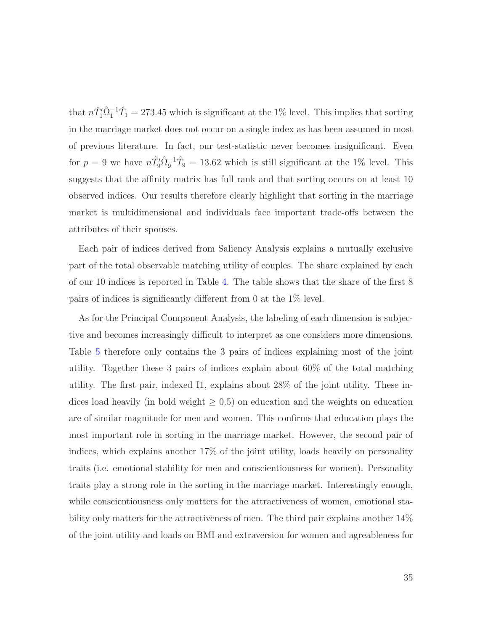that  $n\hat{T}_1^{\prime}\hat{\Omega}_1^{-1}\hat{T}_1 = 273.45$  which is significant at the 1% level. This implies that sorting in the marriage market does not occur on a single index as has been assumed in most of previous literature. In fact, our test-statistic never becomes insignificant. Even for  $p = 9$  we have  $n\hat{T}_9' \hat{\Omega}_9^{-1} \hat{T}_9 = 13.62$  which is still significant at the 1% level. This suggests that the affinity matrix has full rank and that sorting occurs on at least 10 observed indices. Our results therefore clearly highlight that sorting in the marriage market is multidimensional and individuals face important trade-offs between the attributes of their spouses.

Each pair of indices derived from Saliency Analysis explains a mutually exclusive part of the total observable matching utility of couples. The share explained by each of our 10 indices is reported in Table [4.](#page-70-0) The table shows that the share of the first 8 pairs of indices is significantly different from 0 at the 1% level.

As for the Principal Component Analysis, the labeling of each dimension is subjective and becomes increasingly difficult to interpret as one considers more dimensions. Table [5](#page-71-0) therefore only contains the 3 pairs of indices explaining most of the joint utility. Together these 3 pairs of indices explain about 60% of the total matching utility. The first pair, indexed I1, explains about 28% of the joint utility. These indices load heavily (in bold weight  $\geq$  0.5) on education and the weights on education are of similar magnitude for men and women. This confirms that education plays the most important role in sorting in the marriage market. However, the second pair of indices, which explains another 17% of the joint utility, loads heavily on personality traits (i.e. emotional stability for men and conscientiousness for women). Personality traits play a strong role in the sorting in the marriage market. Interestingly enough, while conscientiousness only matters for the attractiveness of women, emotional stability only matters for the attractiveness of men. The third pair explains another 14% of the joint utility and loads on BMI and extraversion for women and agreableness for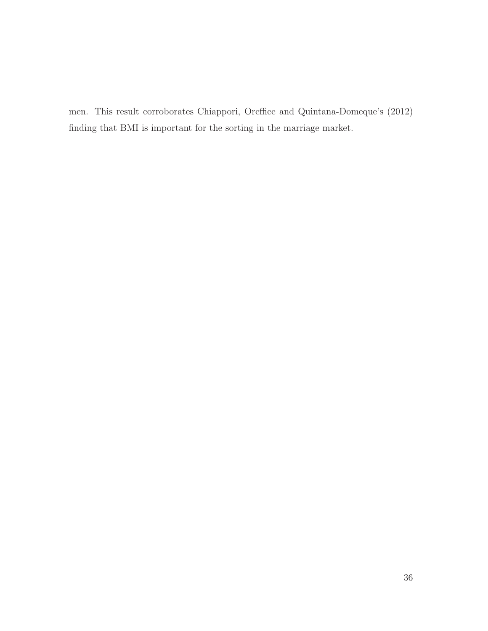men. This result corroborates Chiappori, Oreffice and Quintana-Domeque's (2012) finding that BMI is important for the sorting in the marriage market.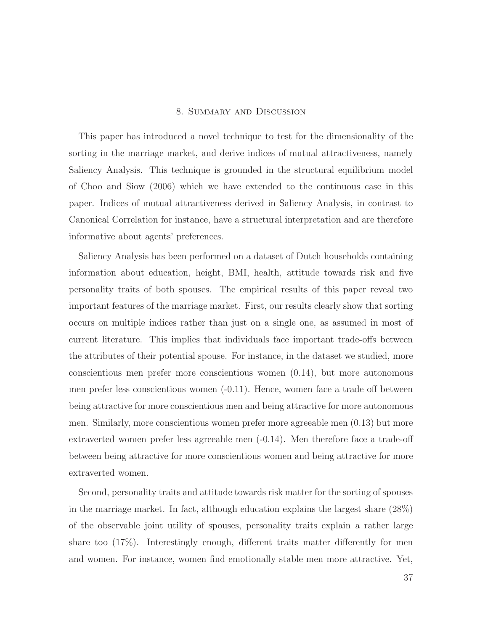#### 8. Summary and Discussion

This paper has introduced a novel technique to test for the dimensionality of the sorting in the marriage market, and derive indices of mutual attractiveness, namely Saliency Analysis. This technique is grounded in the structural equilibrium model of Choo and Siow (2006) which we have extended to the continuous case in this paper. Indices of mutual attractiveness derived in Saliency Analysis, in contrast to Canonical Correlation for instance, have a structural interpretation and are therefore informative about agents' preferences.

Saliency Analysis has been performed on a dataset of Dutch households containing information about education, height, BMI, health, attitude towards risk and five personality traits of both spouses. The empirical results of this paper reveal two important features of the marriage market. First, our results clearly show that sorting occurs on multiple indices rather than just on a single one, as assumed in most of current literature. This implies that individuals face important trade-offs between the attributes of their potential spouse. For instance, in the dataset we studied, more conscientious men prefer more conscientious women (0.14), but more autonomous men prefer less conscientious women (-0.11). Hence, women face a trade off between being attractive for more conscientious men and being attractive for more autonomous men. Similarly, more conscientious women prefer more agreeable men (0.13) but more extraverted women prefer less agreeable men (-0.14). Men therefore face a trade-off between being attractive for more conscientious women and being attractive for more extraverted women.

Second, personality traits and attitude towards risk matter for the sorting of spouses in the marriage market. In fact, although education explains the largest share (28%) of the observable joint utility of spouses, personality traits explain a rather large share too (17%). Interestingly enough, different traits matter differently for men and women. For instance, women find emotionally stable men more attractive. Yet,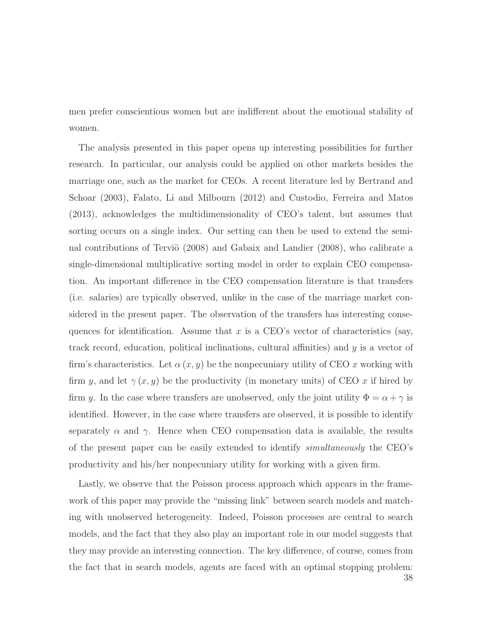men prefer conscientious women but are indifferent about the emotional stability of women.

The analysis presented in this paper opens up interesting possibilities for further research. In particular, our analysis could be applied on other markets besides the marriage one, such as the market for CEOs. A recent literature led by Bertrand and Schoar (2003), Falato, Li and Milbourn (2012) and Custodio, Ferreira and Matos (2013), acknowledges the multidimensionality of CEO's talent, but assumes that sorting occurs on a single index. Our setting can then be used to extend the seminal contributions of Terviö  $(2008)$  and Gabaix and Landier  $(2008)$ , who calibrate a single-dimensional multiplicative sorting model in order to explain CEO compensation. An important difference in the CEO compensation literature is that transfers (i.e. salaries) are typically observed, unlike in the case of the marriage market considered in the present paper. The observation of the transfers has interesting consequences for identification. Assume that  $x$  is a CEO's vector of characteristics (say, track record, education, political inclinations, cultural affinities) and y is a vector of firm's characteristics. Let  $\alpha(x, y)$  be the nonpecuniary utility of CEO x working with firm y, and let  $\gamma(x, y)$  be the productivity (in monetary units) of CEO x if hired by firm y. In the case where transfers are unobserved, only the joint utility  $\Phi = \alpha + \gamma$  is identified. However, in the case where transfers are observed, it is possible to identify separately  $\alpha$  and  $\gamma$ . Hence when CEO compensation data is available, the results of the present paper can be easily extended to identify simultaneously the CEO's productivity and his/her nonpecuniary utility for working with a given firm.

Lastly, we observe that the Poisson process approach which appears in the framework of this paper may provide the "missing link" between search models and matching with unobserved heterogeneity. Indeed, Poisson processes are central to search models, and the fact that they also play an important role in our model suggests that they may provide an interesting connection. The key difference, of course, comes from the fact that in search models, agents are faced with an optimal stopping problem: 38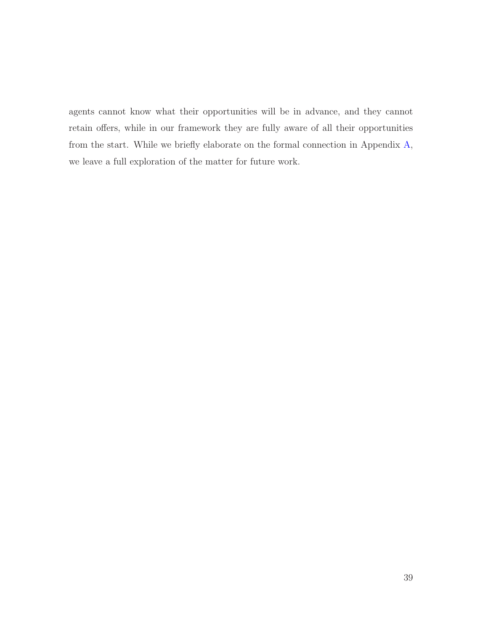agents cannot know what their opportunities will be in advance, and they cannot retain offers, while in our framework they are fully aware of all their opportunities from the start. While we briefly elaborate on the formal connection in Appendix [A,](#page-39-0) we leave a full exploration of the matter for future work.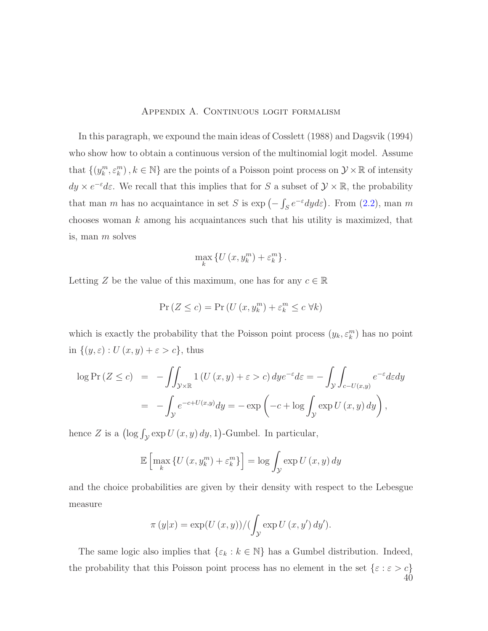#### Appendix A. Continuous logit formalism

<span id="page-39-0"></span>In this paragraph, we expound the main ideas of Cosslett (1988) and Dagsvik (1994) who show how to obtain a continuous version of the multinomial logit model. Assume that  $\{(y_k^m, \varepsilon_k^m), k \in \mathbb{N}\}\$ are the points of a Poisson point process on  $\mathcal{Y} \times \mathbb{R}$  of intensity  $dy \times e^{-\varepsilon} d\varepsilon$ . We recall that this implies that for S a subset of  $\mathcal{Y} \times \mathbb{R}$ , the probability that man m has no acquaintance in set S is  $\exp(-\int_{S} e^{-\varepsilon} dy d\varepsilon)$ . From [\(2.2\)](#page-41-0), man m chooses woman  $k$  among his acquaintances such that his utility is maximized, that is, man m solves

$$
\max_{k} \left\{ U\left(x, y_k^m\right) + \varepsilon_k^m \right\}.
$$

Letting Z be the value of this maximum, one has for any  $c \in \mathbb{R}$ 

$$
\Pr(Z \le c) = \Pr(U(x, y_k^m) + \varepsilon_k^m \le c \,\forall k)
$$

which is exactly the probability that the Poisson point process  $(y_k, \varepsilon_k^m)$  has no point in  $\{(y,\varepsilon): U(x,y)+\varepsilon > c\}$ , thus

$$
\log \Pr(Z \le c) = -\iint_{\mathcal{Y} \times \mathbb{R}} 1(U(x, y) + \varepsilon > c) \, dy e^{-\varepsilon} d\varepsilon = -\int_{\mathcal{Y}} \int_{c-U(x, y)} e^{-\varepsilon} d\varepsilon dy
$$

$$
= -\int_{\mathcal{Y}} e^{-c+U(x, y)} dy = -\exp\left(-c + \log \int_{\mathcal{Y}} \exp U(x, y) \, dy\right),
$$

hence Z is a  $\left(\log \int_{\mathcal{Y}} \exp U(x, y) dy, 1\right)$ -Gumbel. In particular,

$$
\mathbb{E}\left[\max_{k} \left\{ U\left(x, y_{k}^{m}\right) + \varepsilon_{k}^{m} \right\} \right] = \log \int_{\mathcal{Y}} \exp U\left(x, y\right) dy
$$

and the choice probabilities are given by their density with respect to the Lebesgue measure

$$
\pi(y|x) = \exp(U(x, y)) / (\int_{\mathcal{Y}} \exp U(x, y') dy').
$$

The same logic also implies that  $\{\varepsilon_k : k \in \mathbb{N}\}\$  has a Gumbel distribution. Indeed, the probability that this Poisson point process has no element in the set  $\{\varepsilon : \varepsilon > c\}$ 40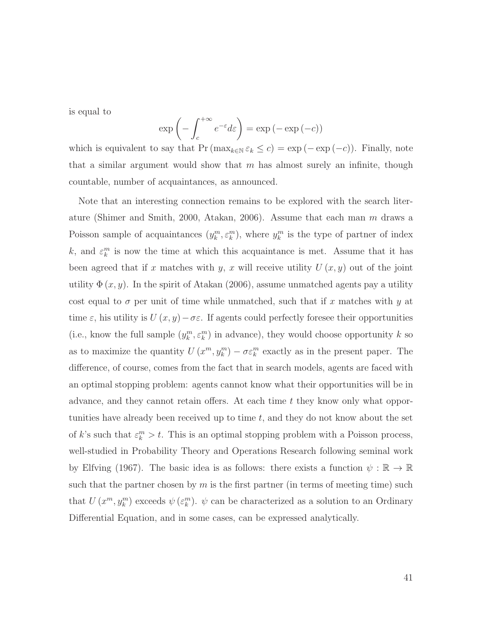is equal to

$$
\exp\left(-\int_{c}^{+\infty} e^{-\varepsilon} d\varepsilon\right) = \exp(-\exp(-c))
$$

which is equivalent to say that  $Pr(\max_{k \in \mathbb{N}} \varepsilon_k \le c) = \exp(-\exp(-c))$ . Finally, note that a similar argument would show that m has almost surely an infinite, though countable, number of acquaintances, as announced.

Note that an interesting connection remains to be explored with the search literature (Shimer and Smith, 2000, Atakan, 2006). Assume that each man  $m$  draws a Poisson sample of acquaintances  $(y_k^m, \varepsilon_k^m)$ , where  $y_k^m$  is the type of partner of index k, and  $\varepsilon_k^m$  is now the time at which this acquaintance is met. Assume that it has been agreed that if x matches with y, x will receive utility  $U(x, y)$  out of the joint utility  $\Phi(x, y)$ . In the spirit of Atakan (2006), assume unmatched agents pay a utility cost equal to  $\sigma$  per unit of time while unmatched, such that if x matches with y at time  $\varepsilon$ , his utility is  $U(x, y) - \sigma \varepsilon$ . If agents could perfectly foresee their opportunities (i.e., know the full sample  $(y_k^m, \varepsilon_k^m)$  in advance), they would choose opportunity k so as to maximize the quantity  $U(x^m, y_k^m) - \sigma \varepsilon_k^m$  exactly as in the present paper. The difference, of course, comes from the fact that in search models, agents are faced with an optimal stopping problem: agents cannot know what their opportunities will be in advance, and they cannot retain offers. At each time  $t$  they know only what opportunities have already been received up to time  $t$ , and they do not know about the set of k's such that  $\varepsilon_k^m > t$ . This is an optimal stopping problem with a Poisson process, well-studied in Probability Theory and Operations Research following seminal work by Elfving (1967). The basic idea is as follows: there exists a function  $\psi : \mathbb{R} \to \mathbb{R}$ such that the partner chosen by  $m$  is the first partner (in terms of meeting time) such that  $U(x^m, y_k^m)$  exceeds  $\psi(\varepsilon_k^m)$ .  $\psi$  can be characterized as a solution to an Ordinary Differential Equation, and in some cases, can be expressed analytically.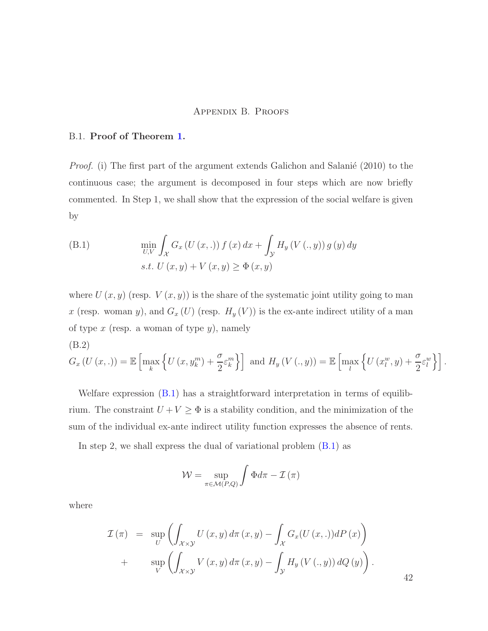#### Appendix B. Proofs

#### B.1. Proof of Theorem [1.](#page-10-0)

*Proof.* (i) The first part of the argument extends Galichon and Salanie  $(2010)$  to the continuous case; the argument is decomposed in four steps which are now briefly commented. In Step 1, we shall show that the expression of the social welfare is given by

<span id="page-41-1"></span>(B.1) 
$$
\min_{U,V} \int_{\mathcal{X}} G_x \left( U \left( x, . \right) \right) f \left( x \right) dx + \int_{\mathcal{Y}} H_y \left( V \left( ., y \right) \right) g \left( y \right) dy
$$
  
s.t.  $U \left( x, y \right) + V \left( x, y \right) \ge \Phi \left( x, y \right)$ 

where  $U(x, y)$  (resp.  $V(x, y)$ ) is the share of the systematic joint utility going to man x (resp. woman y), and  $G_x(U)$  (resp.  $H_y(V)$ ) is the ex-ante indirect utility of a man of type  $x$  (resp. a woman of type  $y$ ), namely (B.2)

<span id="page-41-0"></span>
$$
G_x(U(x,.)) = \mathbb{E}\left[\max_k \left\{ U(x,y_k^m) + \frac{\sigma}{2} \varepsilon_k^m \right\} \right] \text{ and } H_y(V(.,y)) = \mathbb{E}\left[\max_l \left\{ U(x_l^w,y) + \frac{\sigma}{2} \varepsilon_l^w \right\} \right].
$$

Welfare expression  $(B.1)$  has a straightforward interpretation in terms of equilibrium. The constraint  $U + V \geq \Phi$  is a stability condition, and the minimization of the sum of the individual ex-ante indirect utility function expresses the absence of rents.

In step 2, we shall express the dual of variational problem  $(B.1)$  as

$$
\mathcal{W} = \sup_{\pi \in \mathcal{M}(P,Q)} \int \Phi d\pi - \mathcal{I}(\pi)
$$

where

$$
\mathcal{I}(\pi) = \sup_{U} \left( \int_{\mathcal{X} \times \mathcal{Y}} U(x, y) d\pi(x, y) - \int_{\mathcal{X}} G_x(U(x, .)) dP(x) \right) \n+ \sup_{V} \left( \int_{\mathcal{X} \times \mathcal{Y}} V(x, y) d\pi(x, y) - \int_{\mathcal{Y}} H_y(V(., y)) dQ(y) \right).
$$
\n42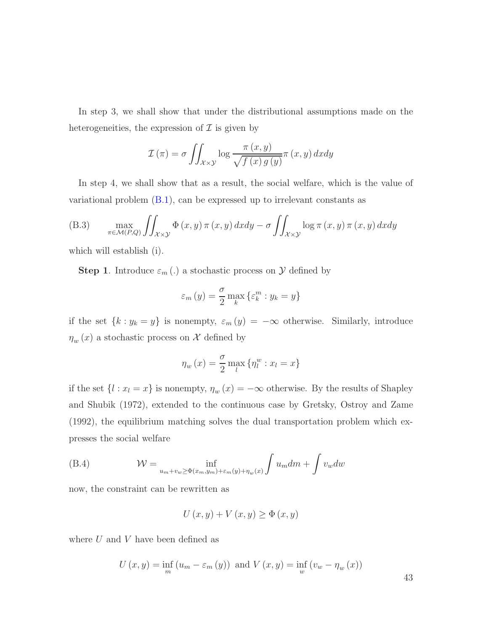In step 3, we shall show that under the distributional assumptions made on the heterogeneities, the expression of  $\mathcal I$  is given by

$$
\mathcal{I}(\pi) = \sigma \iint_{\mathcal{X} \times \mathcal{Y}} \log \frac{\pi (x, y)}{\sqrt{f(x) g(y)}} \pi (x, y) dx dy
$$

In step 4, we shall show that as a result, the social welfare, which is the value of variational problem [\(B.1\)](#page-41-1), can be expressed up to irrelevant constants as

<span id="page-42-1"></span>(B.3) 
$$
\max_{\pi \in \mathcal{M}(P,Q)} \iint_{\mathcal{X} \times \mathcal{Y}} \Phi(x,y) \pi(x,y) dx dy - \sigma \iint_{\mathcal{X} \times \mathcal{Y}} \log \pi(x,y) \pi(x,y) dx dy
$$

which will establish (i).

**Step 1.** Introduce  $\varepsilon_m$  (.) a stochastic process on  $\mathcal{Y}$  defined by

$$
\varepsilon_m(y) = \frac{\sigma}{2} \max_k \{ \varepsilon_k^m : y_k = y \}
$$

if the set  ${k : y_k = y}$  is nonempty,  $\varepsilon_m(y) = -\infty$  otherwise. Similarly, introduce  $\eta_w(x)$  a stochastic process on X defined by

$$
\eta_w(x) = \frac{\sigma}{2} \max_l \{ \eta_l^w : x_l = x \}
$$

if the set  $\{l : x_l = x\}$  is nonempty,  $\eta_w(x) = -\infty$  otherwise. By the results of Shapley and Shubik (1972), extended to the continuous case by Gretsky, Ostroy and Zame (1992), the equilibrium matching solves the dual transportation problem which expresses the social welfare

<span id="page-42-0"></span>(B.4) 
$$
\mathcal{W} = \inf_{u_m + v_w \ge \Phi(x_m, y_m) + \varepsilon_m(y) + \eta_w(x)} \int u_m dm + \int v_w dw
$$

now, the constraint can be rewritten as

$$
U(x, y) + V(x, y) \ge \Phi(x, y)
$$

where  $U$  and  $V$  have been defined as

$$
U(x, y) = \inf_{m} (u_m - \varepsilon_m (y)) \text{ and } V(x, y) = \inf_{w} (v_w - \eta_w (x))
$$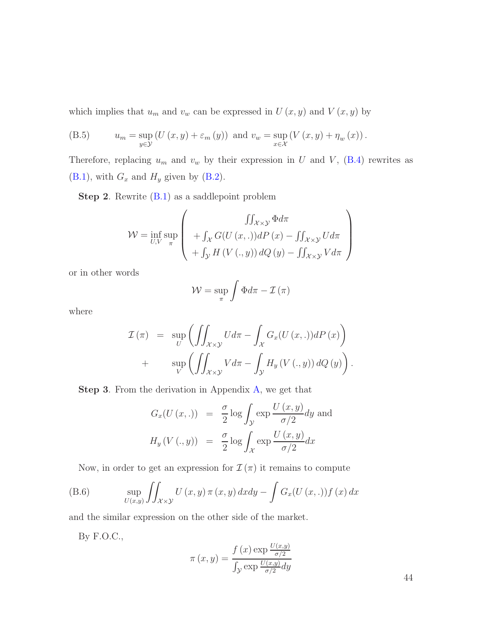which implies that  $u_m$  and  $v_w$  can be expressed in  $U(x, y)$  and  $V(x, y)$  by

<span id="page-43-1"></span>(B.5) 
$$
u_m = \sup_{y \in \mathcal{Y}} \left( U(x, y) + \varepsilon_m(y) \right) \text{ and } v_w = \sup_{x \in \mathcal{X}} \left( V(x, y) + \eta_w(x) \right).
$$

Therefore, replacing  $u_m$  and  $v_w$  by their expression in U and V, [\(B.4\)](#page-42-0) rewrites as [\(B.1\)](#page-41-1), with  $G_x$  and  $H_y$  given by [\(B.2\)](#page-41-0).

Step 2. Rewrite [\(B.1\)](#page-41-1) as a saddlepoint problem

$$
W = \inf_{U,V} \sup_{\pi} \left( \frac{\iint_{\mathcal{X}\times\mathcal{Y}} \Phi d\pi}{+\int_{\mathcal{X}} G(U(x,.)) dP(x) - \iint_{\mathcal{X}\times\mathcal{Y}} U d\pi} + \int_{\mathcal{Y}} H(V(.,y)) dQ(y) - \iint_{\mathcal{X}\times\mathcal{Y}} V d\pi \right)
$$

or in other words

$$
W = \sup_{\pi} \int \Phi d\pi - \mathcal{I}(\pi)
$$

where

$$
\mathcal{I}(\pi) = \sup_{U} \left( \iint_{\mathcal{X} \times \mathcal{Y}} U d\pi - \int_{\mathcal{X}} G_x(U(x,.)) dP(x) \right) \n+ \sup_{V} \left( \iint_{\mathcal{X} \times \mathcal{Y}} V d\pi - \int_{\mathcal{Y}} H_y(V(.,y)) dQ(y) \right).
$$

Step 3. From the derivation in Appendix [A,](#page-39-0) we get that

$$
G_x(U(x,.)) = \frac{\sigma}{2} \log \int_{\mathcal{Y}} \exp \frac{U(x,y)}{\sigma/2} dy \text{ and}
$$

$$
H_y(V(.,y)) = \frac{\sigma}{2} \log \int_{\mathcal{X}} \exp \frac{U(x,y)}{\sigma/2} dx
$$

<span id="page-43-0"></span>Now, in order to get an expression for  $\mathcal{I}(\pi)$  it remains to compute

(B.6) 
$$
\sup_{U(x,y)} \iint_{\mathcal{X}\times\mathcal{Y}} U(x,y)\,\pi(x,y)\,dxdy - \int G_x(U(x,.))f(x)\,dx
$$

and the similar expression on the other side of the market.

By F.O.C.,

$$
\pi(x,y) = \frac{f(x) \exp \frac{U(x,y)}{\sigma/2}}{\int y \exp \frac{U(x,y)}{\sigma/2} dy}
$$
44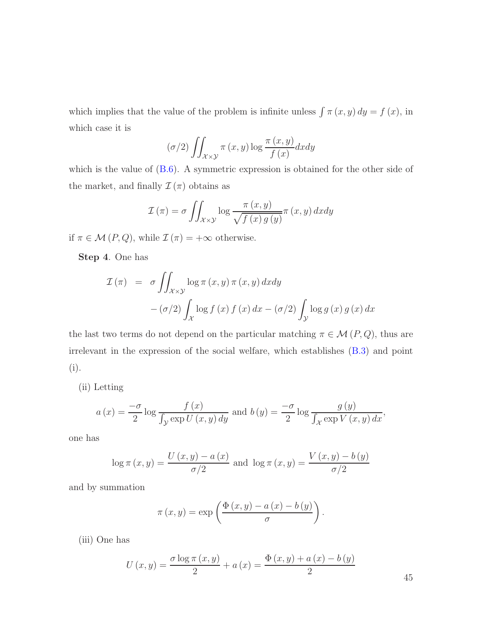which implies that the value of the problem is infinite unless  $\int \pi(x, y) dy = f(x)$ , in which case it is

$$
(\sigma/2) \iint_{\mathcal{X}\times\mathcal{Y}} \pi(x,y) \log \frac{\pi(x,y)}{f(x)} dx dy
$$

which is the value of  $(B.6)$ . A symmetric expression is obtained for the other side of the market, and finally  $\mathcal{I}(\pi)$  obtains as

$$
\mathcal{I}(\pi) = \sigma \iint_{\mathcal{X} \times \mathcal{Y}} \log \frac{\pi (x, y)}{\sqrt{f(x) g(y)}} \pi (x, y) dx dy
$$

if  $\pi \in \mathcal{M}(P,Q)$ , while  $\mathcal{I}(\pi) = +\infty$  otherwise.

Step 4. One has

$$
\mathcal{I}(\pi) = \sigma \iint_{\mathcal{X} \times \mathcal{Y}} \log \pi (x, y) \pi (x, y) dxdy
$$

$$
- (\sigma/2) \int_{\mathcal{X}} \log f(x) f(x) dx - (\sigma/2) \int_{\mathcal{Y}} \log g(x) g(x) dx
$$

the last two terms do not depend on the particular matching  $\pi \in \mathcal{M}(P,Q)$ , thus are irrelevant in the expression of the social welfare, which establishes [\(B.3\)](#page-42-1) and point (i).

(ii) Letting

$$
a(x) = \frac{-\sigma}{2} \log \frac{f(x)}{\int_{\mathcal{Y}} \exp U(x, y) \, dy} \text{ and } b(y) = \frac{-\sigma}{2} \log \frac{g(y)}{\int_{\mathcal{X}} \exp V(x, y) \, dx},
$$

one has

$$
\log \pi(x, y) = \frac{U(x, y) - a(x)}{\sigma/2}
$$
 and 
$$
\log \pi(x, y) = \frac{V(x, y) - b(y)}{\sigma/2}
$$

and by summation

$$
\pi(x,y) = \exp\left(\frac{\Phi(x,y) - a(x) - b(y)}{\sigma}\right).
$$

(iii) One has

$$
U(x, y) = \frac{\sigma \log \pi (x, y)}{2} + a(x) = \frac{\Phi(x, y) + a(x) - b(y)}{2}
$$

45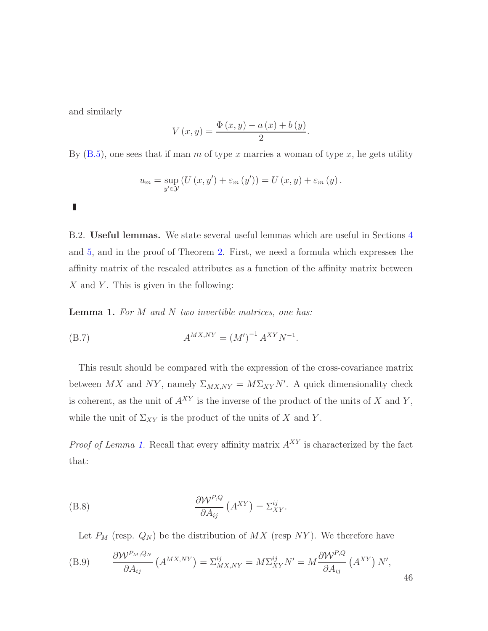and similarly

<span id="page-45-4"></span>П

$$
V(x, y) = \frac{\Phi(x, y) - a(x) + b(y)}{2}.
$$

By  $(B.5)$ , one sees that if man m of type x marries a woman of type x, he gets utility

$$
u_m = \sup_{y' \in \mathcal{Y}} \left( U(x, y') + \varepsilon_m \left( y' \right) \right) = U(x, y) + \varepsilon_m \left( y \right).
$$

B.2. Useful lemmas. We state several useful lemmas which are useful in Sections [4](#page-20-0) and [5,](#page-24-0) and in the proof of Theorem [2.](#page-25-0) First, we need a formula which expresses the affinity matrix of the rescaled attributes as a function of the affinity matrix between  $X$  and  $Y$ . This is given in the following:

<span id="page-45-0"></span>**Lemma 1.** For  $M$  and  $N$  two invertible matrices, one has:

<span id="page-45-3"></span>(B.7) 
$$
A^{MX, NY} = (M')^{-1} A^{XY} N^{-1}.
$$

This result should be compared with the expression of the cross-covariance matrix between MX and NY, namely  $\Sigma_{MX, NY} = M \Sigma_{XY} N'$ . A quick dimensionality check is coherent, as the unit of  $A^{XY}$  is the inverse of the product of the units of X and Y, while the unit of  $\Sigma_{XY}$  is the product of the units of X and Y.

*Proof of Lemma [1.](#page-45-0)* Recall that every affinity matrix  $A^{XY}$  is characterized by the fact that:

$$
\frac{\partial \mathcal{W}^{P,Q}}{\partial A_{ij}}\left(A^{XY}\right) = \Sigma_{XY}^{ij}.
$$

<span id="page-45-2"></span><span id="page-45-1"></span>Let  $P_M$  (resp.  $Q_N$ ) be the distribution of  $MX$  (resp  $NY$ ). We therefore have

(B.9) 
$$
\frac{\partial W^{P_M, Q_N}}{\partial A_{ij}} \left( A^{MX, NY} \right) = \Sigma_{MX, NY}^{ij} = M \Sigma_{XY}^{ij} N' = M \frac{\partial W^{P, Q}}{\partial A_{ij}} \left( A^{XY} \right) N',
$$
46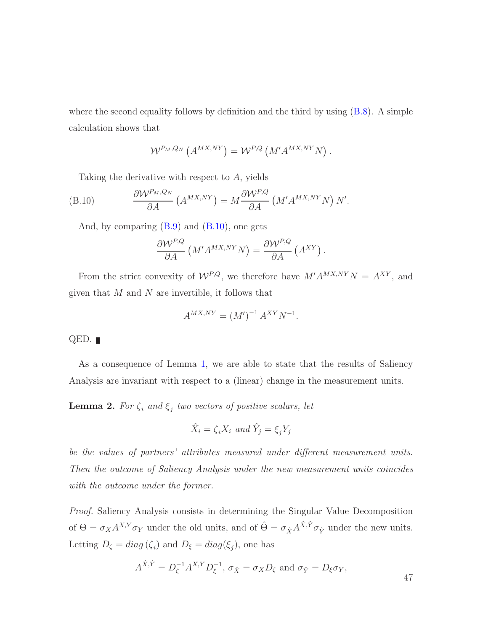where the second equality follows by definition and the third by using  $(B.8)$ . A simple calculation shows that

<span id="page-46-0"></span>
$$
\mathcal{W}^{P_M,Q_N}\left(A^{MX,NY}\right) = \mathcal{W}^{P,Q}\left(M'A^{MX,NY}N\right).
$$

Taking the derivative with respect to A, yields

(B.10) 
$$
\frac{\partial W^{P_M,Q_N}}{\partial A} \left( A^{MX,NY} \right) = M \frac{\partial W^{P,Q}}{\partial A} \left( M' A^{MX,NY} N \right) N'.
$$

And, by comparing [\(B.9\)](#page-45-2) and [\(B.10\)](#page-46-0), one gets

$$
\frac{\partial W^{P,Q}}{\partial A}\left(M'A^{MX,NY}N\right) = \frac{\partial W^{P,Q}}{\partial A}\left(A^{XY}\right).
$$

From the strict convexity of  $W^{P,Q}$ , we therefore have  $M'A^{MX,NY}N = A^{XY}$ , and given that  $M$  and  $N$  are invertible, it follows that

$$
A^{MX, NY} = (M')^{-1} A^{XY} N^{-1}.
$$

### QED.

As a consequence of Lemma [1,](#page-45-0) we are able to state that the results of Saliency Analysis are invariant with respect to a (linear) change in the measurement units.

**Lemma 2.** For  $\zeta_i$  and  $\xi_j$  two vectors of positive scalars, let

$$
\hat{X}_i = \zeta_i X_i \text{ and } \hat{Y}_j = \xi_j Y_j
$$

be the values of partners' attributes measured under different measurement units. Then the outcome of Saliency Analysis under the new measurement units coincides with the outcome under the former.

Proof. Saliency Analysis consists in determining the Singular Value Decomposition of  $\Theta = \sigma_X A^{X,Y} \sigma_Y$  under the old units, and of  $\hat{\Theta} = \sigma_{\hat{X}} A^{\hat{X},\hat{Y}} \sigma_{\hat{Y}}$  under the new units. Letting  $D_{\zeta} = diag(\zeta_i)$  and  $D_{\xi} = diag(\xi_j)$ , one has

$$
A^{\hat{X},\hat{Y}} = D_{\zeta}^{-1} A^{X,Y} D_{\xi}^{-1}, \sigma_{\hat{X}} = \sigma_X D_{\zeta} \text{ and } \sigma_{\hat{Y}} = D_{\xi} \sigma_Y,
$$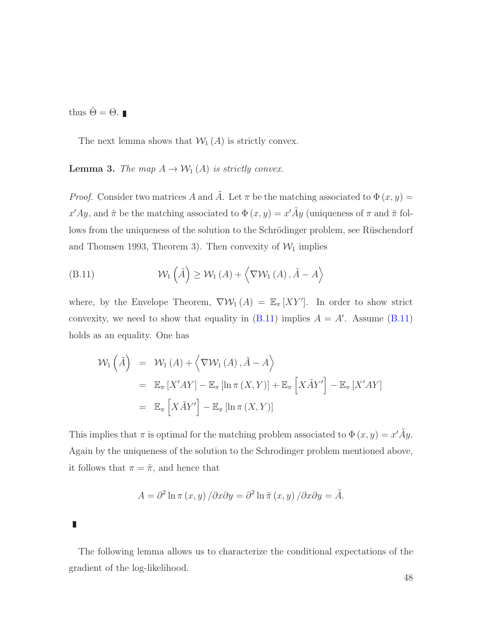thus  $\hat{\Theta} = \Theta$ .

The next lemma shows that  $W_1(A)$  is strictly convex.

**Lemma 3.** The map  $A \to W_1(A)$  is strictly convex.

*Proof.* Consider two matrices A and  $\tilde{A}$ . Let  $\pi$  be the matching associated to  $\Phi(x, y) =$  $x'Ay$ , and  $\tilde{\pi}$  be the matching associated to  $\Phi(x, y) = x'\tilde{A}y$  (uniqueness of  $\pi$  and  $\tilde{\pi}$  follows from the uniqueness of the solution to the Schrödinger problem, see Rüschendorf and Thomsen 1993, Theorem 3). Then convexity of  $\mathcal{W}_1$  implies

<span id="page-47-0"></span>(B.11) 
$$
\mathcal{W}_1\left(\tilde{A}\right) \geq \mathcal{W}_1\left(A\right) + \left\langle \nabla \mathcal{W}_1\left(A\right), \tilde{A} - A \right\rangle
$$

where, by the Envelope Theorem,  $\nabla \mathcal{W}_1(A) = \mathbb{E}_{\pi}[XY']$ . In order to show strict convexity, we need to show that equality in  $(B.11)$  implies  $A = A'$ . Assume  $(B.11)$ holds as an equality. One has

$$
\mathcal{W}_1\left(\tilde{A}\right) = \mathcal{W}_1\left(A\right) + \left\langle \nabla \mathcal{W}_1\left(A\right), \tilde{A} - A \right\rangle
$$
  
\n
$$
= \mathbb{E}_{\pi}\left[X'AY\right] - \mathbb{E}_{\pi}\left[\ln \pi\left(X, Y\right)\right] + \mathbb{E}_{\pi}\left[X\tilde{A}Y'\right] - \mathbb{E}_{\pi}\left[X'AY\right]
$$
  
\n
$$
= \mathbb{E}_{\pi}\left[X\tilde{A}Y'\right] - \mathbb{E}_{\pi}\left[\ln \pi\left(X, Y\right)\right]
$$

This implies that  $\pi$  is optimal for the matching problem associated to  $\Phi(x, y) = x' \tilde{A}y$ . Again by the uniqueness of the solution to the Schrodinger problem mentioned above, it follows that  $\pi = \tilde{\pi}$ , and hence that

$$
A = \partial^{2} \ln \pi (x, y) / \partial x \partial y = \partial^{2} \ln \tilde{\pi} (x, y) / \partial x \partial y = \tilde{A}.
$$

П

The following lemma allows us to characterize the conditional expectations of the gradient of the log-likelihood.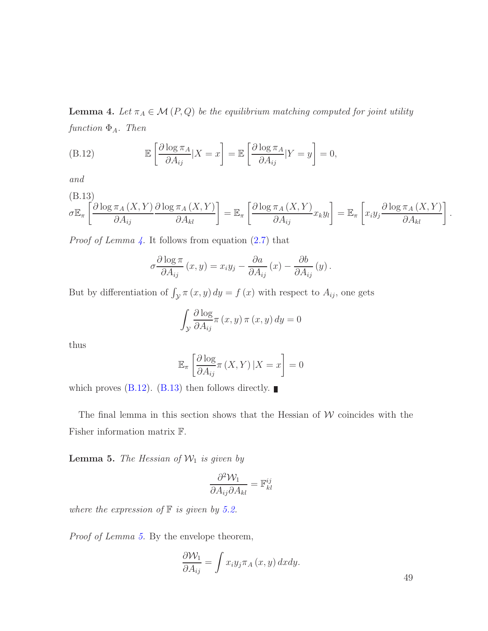<span id="page-48-0"></span>**Lemma 4.** Let  $\pi_A \in \mathcal{M}(P,Q)$  be the equilibrium matching computed for joint utility function  $\Phi_A$ . Then

<span id="page-48-1"></span>(B.12) 
$$
\mathbb{E}\left[\frac{\partial \log \pi_A}{\partial A_{ij}} | X = x\right] = \mathbb{E}\left[\frac{\partial \log \pi_A}{\partial A_{ij}} | Y = y\right] = 0,
$$

and

<span id="page-48-2"></span>(B.13)  

$$
\sigma \mathbb{E}_{\pi} \left[ \frac{\partial \log \pi_A(X, Y)}{\partial A_{ij}} \frac{\partial \log \pi_A(X, Y)}{\partial A_{kl}} \right] = \mathbb{E}_{\pi} \left[ \frac{\partial \log \pi_A(X, Y)}{\partial A_{ij}} x_k y_l \right] = \mathbb{E}_{\pi} \left[ x_i y_j \frac{\partial \log \pi_A(X, Y)}{\partial A_{kl}} \right].
$$

*Proof of Lemma [4.](#page-48-0)* It follows from equation  $(2.7)$  that

$$
\sigma \frac{\partial \log \pi}{\partial A_{ij}}(x, y) = x_i y_j - \frac{\partial a}{\partial A_{ij}}(x) - \frac{\partial b}{\partial A_{ij}}(y).
$$

But by differentiation of  $\int_{\mathcal{Y}} \pi(x, y) dy = f(x)$  with respect to  $A_{ij}$ , one gets

$$
\int_{\mathcal{Y}} \frac{\partial \log}{\partial A_{ij}} \pi(x, y) \pi(x, y) dy = 0
$$

thus

$$
\mathbb{E}_{\pi}\left[\frac{\partial \log}{\partial A_{ij}}\pi(X,Y)\,|X=x\right]=0
$$

which proves [\(B.12\)](#page-48-1). [\(B.13\)](#page-48-2) then follows directly.  $\blacksquare$ 

The final lemma in this section shows that the Hessian of  $W$  coincides with the Fisher information matrix F.

<span id="page-48-3"></span>**Lemma 5.** The Hessian of  $\mathcal{W}_1$  is given by

$$
\frac{\partial^2 \mathcal{W}_1}{\partial A_{ij} \partial A_{kl}} = \mathbb{F}_{kl}^{ij}
$$

where the expression of  $\mathbb F$  is given by [5.2.](#page-24-1)

Proof of Lemma [5.](#page-48-3) By the envelope theorem,

$$
\frac{\partial \mathcal{W}_1}{\partial A_{ij}} = \int x_i y_j \pi_A(x, y) \, dx dy.
$$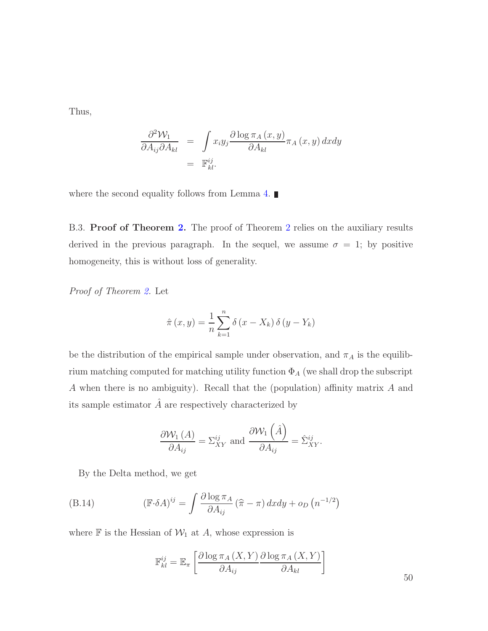Thus,

$$
\frac{\partial^2 \mathcal{W}_1}{\partial A_{ij} \partial A_{kl}} = \int x_i y_j \frac{\partial \log \pi_A(x, y)}{\partial A_{kl}} \pi_A(x, y) dx dy
$$

$$
= \mathbb{F}_{kl}^{ij}.
$$

where the second equality follows from Lemma [4.](#page-48-0)

B.3. Proof of Theorem [2.](#page-25-0) The proof of Theorem [2](#page-25-0) relies on the auxiliary results derived in the previous paragraph. In the sequel, we assume  $\sigma = 1$ ; by positive homogeneity, this is without loss of generality.

Proof of Theorem [2.](#page-25-0) Let

$$
\hat{\pi}(x, y) = \frac{1}{n} \sum_{k=1}^{n} \delta(x - X_k) \delta(y - Y_k)
$$

be the distribution of the empirical sample under observation, and  $\pi_A$  is the equilibrium matching computed for matching utility function  $\Phi_A$  (we shall drop the subscript A when there is no ambiguity). Recall that the (population) affinity matrix A and its sample estimator  $\hat{A}$  are respectively characterized by

$$
\frac{\partial W_1 (A)}{\partial A_{ij}} = \Sigma_{XY}^{ij} \text{ and } \frac{\partial W_1 (\hat{A})}{\partial A_{ij}} = \hat{\Sigma}_{XY}^{ij}.
$$

By the Delta method, we get

(B.14) 
$$
(\mathbb{F} \cdot \delta A)^{ij} = \int \frac{\partial \log \pi_A}{\partial A_{ij}} (\hat{\pi} - \pi) dx dy + o_D (n^{-1/2})
$$

where  $\mathbb F$  is the Hessian of  $\mathcal W_1$  at A, whose expression is

$$
\mathbb{F}_{kl}^{ij} = \mathbb{E}_{\pi} \left[ \frac{\partial \log \pi_A \left( X, Y \right)}{\partial A_{ij}} \frac{\partial \log \pi_A \left( X, Y \right)}{\partial A_{kl}} \right]
$$
50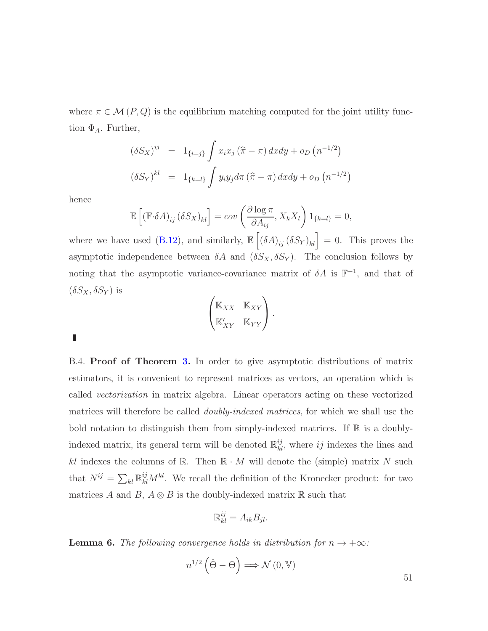where  $\pi \in \mathcal{M}(P,Q)$  is the equilibrium matching computed for the joint utility function  $\Phi_A$ . Further,

$$
(\delta S_X)^{ij} = 1_{\{i=j\}} \int x_i x_j (\hat{\pi} - \pi) dx dy + o_D (n^{-1/2})
$$

$$
(\delta S_Y)^{kl} = 1_{\{k=l\}} \int y_i y_j d\pi (\hat{\pi} - \pi) dx dy + o_D (n^{-1/2})
$$

hence

$$
\mathbb{E}\left[\left(\mathbb{F}\cdot \delta A\right)_{ij} \left(\delta S_X\right)_{kl}\right] = cov\left(\frac{\partial \log \pi}{\partial A_{ij}}, X_k X_l\right) 1_{\{k=l\}} = 0,
$$

where we have used [\(B.12\)](#page-48-1), and similarly,  $\mathbb{E} \left[ (\delta A)_{ij} (\delta S_{Y})_{kl} \right] = 0$ . This proves the asymptotic independence between  $\delta A$  and  $(\delta S_X, \delta S_Y)$ . The conclusion follows by noting that the asymptotic variance-covariance matrix of  $\delta A$  is  $\mathbb{F}^{-1}$ , and that of  $(\delta S_X, \delta S_Y)$  is

$$
\begin{pmatrix} \mathbb{K}_{XX} & \mathbb{K}_{XY} \\ \mathbb{K}'_{XY} & \mathbb{K}_{YY} \end{pmatrix}.
$$

 $\overline{\phantom{a}}$ 

B.4. Proof of Theorem [3.](#page-26-0) In order to give asymptotic distributions of matrix estimators, it is convenient to represent matrices as vectors, an operation which is called vectorization in matrix algebra. Linear operators acting on these vectorized matrices will therefore be called *doubly-indexed matrices*, for which we shall use the bold notation to distinguish them from simply-indexed matrices. If  $\mathbb R$  is a doublyindexed matrix, its general term will be denoted  $\mathbb{R}_{kl}^{ij}$ , where ij indexes the lines and kl indexes the columns of  $\mathbb{R}$ . Then  $\mathbb{R} \cdot M$  will denote the (simple) matrix N such that  $N^{ij} = \sum_{kl} \mathbb{R}^{ij}_{kl} M^{kl}$ . We recall the definition of the Kronecker product: for two matrices A and B,  $A \otimes B$  is the doubly-indexed matrix R such that

$$
\mathbb{R}_{kl}^{ij} = A_{ik} B_{jl}.
$$

<span id="page-50-0"></span>**Lemma 6.** The following convergence holds in distribution for  $n \to +\infty$ :

$$
n^{1/2}(\hat{\Theta} - \Theta) \Longrightarrow \mathcal{N}(0, \mathbb{V})
$$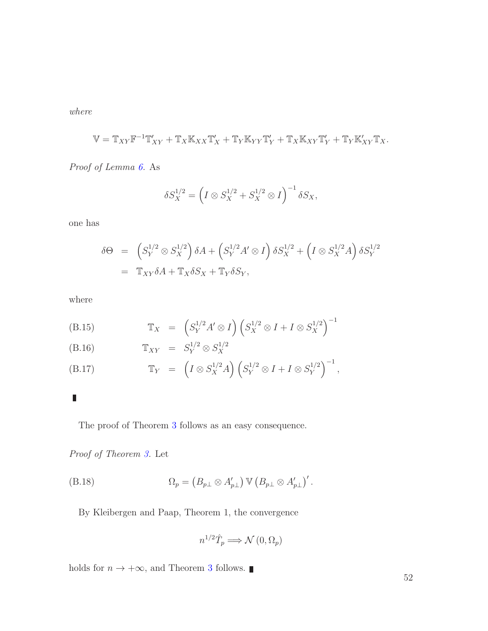where

$$
\mathbb{V} = \mathbb{T}_{XY}\mathbb{F}^{-1}\mathbb{T}'_{XY} + \mathbb{T}_{X}\mathbb{K}_{XX}\mathbb{T}'_{X} + \mathbb{T}_{Y}\mathbb{K}_{YY}\mathbb{T}'_{Y} + \mathbb{T}_{X}\mathbb{K}_{XY}\mathbb{T}'_{Y} + \mathbb{T}_{Y}\mathbb{K}'_{XY}\mathbb{T}_{X}.
$$

Proof of Lemma [6.](#page-50-0) As

$$
\delta S_X^{1/2} = \left( I \otimes S_X^{1/2} + S_X^{1/2} \otimes I \right)^{-1} \delta S_X,
$$

one has

$$
\delta\Theta = \left(S_Y^{1/2} \otimes S_X^{1/2}\right) \delta A + \left(S_Y^{1/2} A' \otimes I\right) \delta S_X^{1/2} + \left(I \otimes S_X^{1/2} A\right) \delta S_Y^{1/2}
$$

$$
= \mathbb{T}_{XY} \delta A + \mathbb{T}_X \delta S_X + \mathbb{T}_Y \delta S_Y,
$$

where

T<sup>X</sup> = S 1/2 <sup>Y</sup> A ′ ⊗ I <sup>S</sup> 1/2 <sup>X</sup> ⊗ I + I ⊗ S 1/2 X <sup>−</sup><sup>1</sup> (B.15)

(B.16) 
$$
\mathbb{T}_{XY} = S_Y^{1/2} \otimes S_X^{1/2}
$$

T<sup>Y</sup> = I ⊗ S 1/2 <sup>X</sup> A <sup>S</sup> 1/2 <sup>Y</sup> ⊗ I + I ⊗ S 1/2 Y <sup>−</sup><sup>1</sup> (B.17) ,

The proof of Theorem [3](#page-26-0) follows as an easy consequence.

Proof of Theorem [3.](#page-26-0) Let

(B.18) 
$$
\Omega_p = (B_{p\perp} \otimes A'_{p\perp}) \vee (B_{p\perp} \otimes A'_{p\perp})'.
$$

By Kleibergen and Paap, Theorem 1, the convergence

$$
n^{1/2}\hat{T}_p \Longrightarrow \mathcal{N}\left(0,\Omega_p\right)
$$

holds for  $n\to +\infty,$  and Theorem [3](#page-26-0) follows.  $\blacksquare$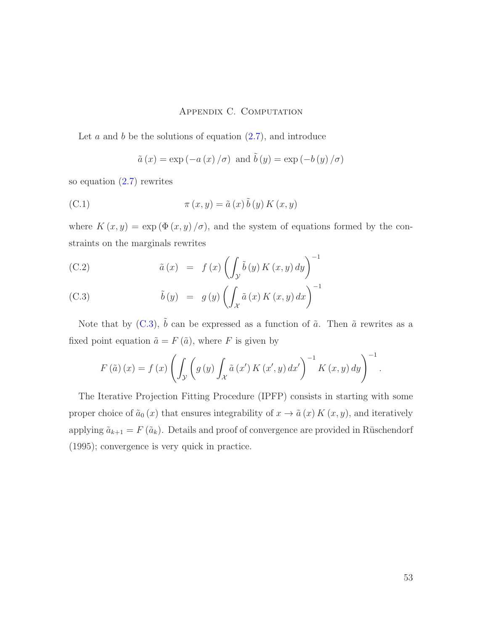#### APPENDIX C. COMPUTATION

Let a and b be the solutions of equation  $(2.7)$ , and introduce

$$
\tilde{a}(x) = \exp(-a(x)/\sigma)
$$
 and  $\tilde{b}(y) = \exp(-b(y)/\sigma)$ 

so equation  $(2.7)$  rewrites

(C.1) 
$$
\pi(x, y) = \tilde{a}(x) \tilde{b}(y) K(x, y)
$$

where  $K(x, y) = \exp(\Phi(x, y)/\sigma)$ , and the system of equations formed by the constraints on the marginals rewrites

<span id="page-52-0"></span>(C.2) 
$$
\tilde{a}(x) = f(x) \left( \int_{\mathcal{Y}} \tilde{b}(y) K(x, y) dy \right)^{-1}
$$

(C.3) 
$$
\tilde{b}(y) = g(y) \left( \int_{\mathcal{X}} \tilde{a}(x) K(x, y) dx \right)^{-1}
$$

Note that by  $(C.3)$ ,  $\tilde{b}$  can be expressed as a function of  $\tilde{a}$ . Then  $\tilde{a}$  rewrites as a fixed point equation  $\tilde{a} = F(\tilde{a})$ , where F is given by

$$
F(\tilde{a}) (x) = f(x) \left( \int_{\mathcal{Y}} \left( g(y) \int_{\mathcal{X}} \tilde{a} (x') K(x', y) dx' \right)^{-1} K(x, y) dy \right)^{-1}.
$$

The Iterative Projection Fitting Procedure (IPFP) consists in starting with some proper choice of  $\tilde{a}_0(x)$  that ensures integrability of  $x \to \tilde{a}(x) K(x, y)$ , and iteratively applying  $\tilde{a}_{k+1} = F(\tilde{a}_k)$ . Details and proof of convergence are provided in Rüschendorf (1995); convergence is very quick in practice.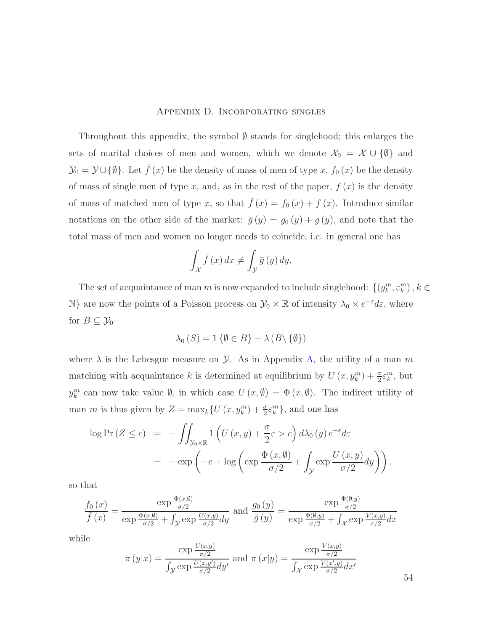#### Appendix D. Incorporating singles

Throughout this appendix, the symbol ∅ stands for singlehood; this enlarges the sets of marital choices of men and women, which we denote  $\mathcal{X}_0 = \mathcal{X} \cup \{\emptyset\}$  and  $\mathcal{Y}_0 = \mathcal{Y} \cup \{\emptyset\}$ . Let  $\bar{f}(x)$  be the density of mass of men of type x,  $f_0(x)$  be the density of mass of single men of type x, and, as in the rest of the paper,  $f(x)$  is the density of mass of matched men of type x, so that  $\bar{f}(x) = f_0(x) + f(x)$ . Introduce similar notations on the other side of the market:  $\bar{g}(y) = g_0(y) + g(y)$ , and note that the total mass of men and women no longer needs to coincide, i.e. in general one has

$$
\int_{\mathcal{X}} \bar{f}(x) \, dx \neq \int_{\mathcal{Y}} \bar{g}(y) \, dy.
$$

The set of acquaintance of man m is now expanded to include singlehood:  $\{(y_k^m, \varepsilon_k^m), k \in$ N} are now the points of a Poisson process on  $\mathcal{Y}_0 \times \mathbb{R}$  of intensity  $\lambda_0 \times e^{-\varepsilon} d\varepsilon$ , where for  $B \subseteq \mathcal{Y}_0$ 

$$
\lambda_0(S) = 1 \{ \emptyset \in B \} + \lambda (B \setminus \{ \emptyset \})
$$

where  $\lambda$  is the Lebesgue measure on  $\mathcal Y$ . As in Appendix [A,](#page-39-0) the utility of a man m matching with acquaintance k is determined at equilibrium by  $U(x, y_k^m) + \frac{\sigma}{2} \varepsilon_k^m$ , but  $y_k^m$  can now take value  $\emptyset$ , in which case  $U(x, \emptyset) = \Phi(x, \emptyset)$ . The indirect utility of man *m* is thus given by  $Z = \max_k \{ U(x, y_k^m) + \frac{\sigma}{2} \varepsilon_k^m \},$  and one has

$$
\log \Pr(Z \le c) = -\iint_{\mathcal{Y}_0 \times \mathbb{R}} 1 \left( U(x, y) + \frac{\sigma}{2} \varepsilon > c \right) d\lambda_0(y) e^{-\varepsilon} d\varepsilon
$$
  
= 
$$
-\exp\left( -c + \log\left( \exp \frac{\Phi(x, \emptyset)}{\sigma/2} + \int_{\mathcal{Y}} \exp \frac{U(x, y)}{\sigma/2} dy \right) \right),
$$

so that

$$
\frac{f_0(x)}{\bar{f}(x)} = \frac{\exp\frac{\Phi(x,\theta)}{\sigma/2}}{\exp\frac{\Phi(x,\theta)}{\sigma/2} + \int_{\mathcal{Y}} \exp\frac{U(x,y)}{\sigma/2} dy} \text{ and } \frac{g_0(y)}{\bar{g}(y)} = \frac{\exp\frac{\Phi(\theta,y)}{\sigma/2}}{\exp\frac{\Phi(\theta,y)}{\sigma/2} + \int_{\mathcal{X}} \exp\frac{V(x,y)}{\sigma/2} dx}
$$

while

$$
\pi(y|x) = \frac{\exp\frac{U(x,y)}{\sigma/2}}{\int_{\mathcal{Y}} \exp\frac{U(x,y')}{\sigma/2} dy'} \text{ and } \pi(x|y) = \frac{\exp\frac{V(x,y)}{\sigma/2}}{\int_{\mathcal{X}} \exp\frac{V(x',y)}{\sigma/2} dx'} \tag{54}
$$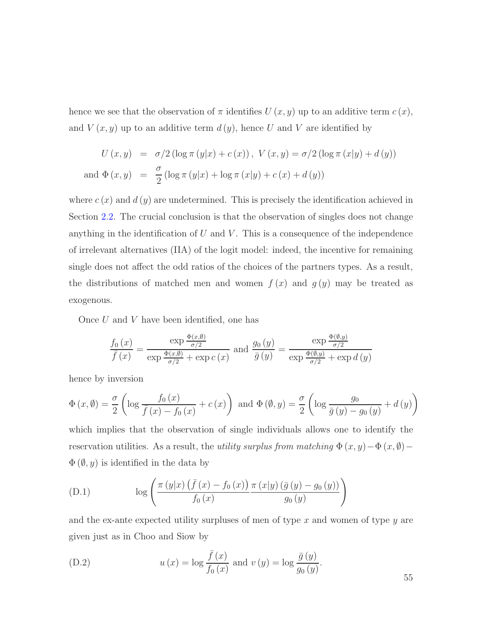hence we see that the observation of  $\pi$  identifies  $U(x, y)$  up to an additive term  $c(x)$ , and  $V(x, y)$  up to an additive term  $d(y)$ , hence U and V are identified by

$$
U(x, y) = \sigma/2 (\log \pi (y|x) + c(x)), \quad V(x, y) = \sigma/2 (\log \pi (x|y) + d(y))
$$
  
and  $\Phi(x, y) = \frac{\sigma}{2} (\log \pi (y|x) + \log \pi (x|y) + c(x) + d(y))$ 

where  $c(x)$  and  $d(y)$  are undetermined. This is precisely the identification achieved in Section [2.2.](#page-45-4) The crucial conclusion is that the observation of singles does not change anything in the identification of  $U$  and  $V$ . This is a consequence of the independence of irrelevant alternatives (IIA) of the logit model: indeed, the incentive for remaining single does not affect the odd ratios of the choices of the partners types. As a result, the distributions of matched men and women  $f(x)$  and  $g(y)$  may be treated as exogenous.

Once  $U$  and  $V$  have been identified, one has

$$
\frac{f_0(x)}{\overline{f}(x)} = \frac{\exp\frac{\Phi(x,\emptyset)}{\sigma/2}}{\exp\frac{\Phi(x,\emptyset)}{\sigma/2} + \exp c(x)} \text{ and } \frac{g_0(y)}{\overline{g}(y)} = \frac{\exp\frac{\Phi(\emptyset,y)}{\sigma/2}}{\exp\frac{\Phi(\emptyset,y)}{\sigma/2} + \exp d(y)}
$$

hence by inversion

$$
\Phi(x,\emptyset) = \frac{\sigma}{2} \left( \log \frac{f_0(x)}{\bar{f}(x) - f_0(x)} + c(x) \right) \text{ and } \Phi(\emptyset, y) = \frac{\sigma}{2} \left( \log \frac{g_0}{\bar{g}(y) - g_0(y)} + d(y) \right)
$$

which implies that the observation of single individuals allows one to identify the reservation utilities. As a result, the *utility surplus from matching*  $\Phi(x, y) - \Phi(x, \emptyset) \Phi(\emptyset, y)$  is identified in the data by

(D.1) 
$$
\log \left( \frac{\pi (y|x) \left( \bar{f}(x) - f_0(x) \right)}{f_0(x)} \frac{\pi (x|y) \left( \bar{g}(y) - g_0(y) \right)}{g_0(y)} \right)
$$

and the ex-ante expected utility surpluses of men of type  $x$  and women of type  $y$  are given just as in Choo and Siow by

(D.2) 
$$
u(x) = \log \frac{\bar{f}(x)}{f_0(x)}
$$
 and  $v(y) = \log \frac{\bar{g}(y)}{g_0(y)}$ .

55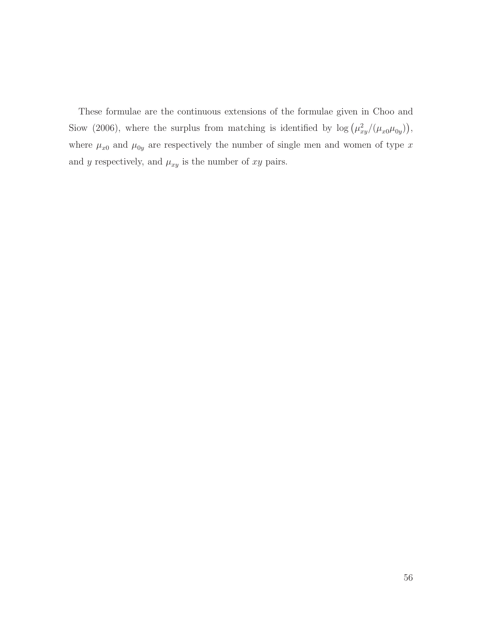These formulae are the continuous extensions of the formulae given in Choo and Siow (2006), where the surplus from matching is identified by  $\log \left(\mu_{xy}^2/(\mu_{x0}\mu_{0y})\right)$ , where  $\mu_{x0}$  and  $\mu_{0y}$  are respectively the number of single men and women of type x and  $y$  respectively, and  $\mu_{xy}$  is the number of  $xy$  pairs.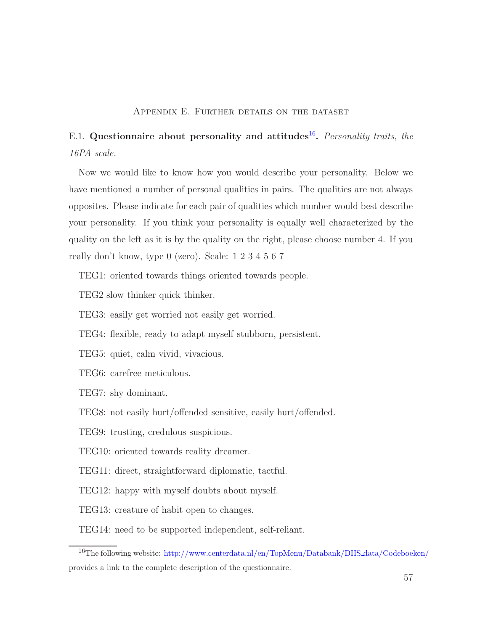#### Appendix E. Further details on the dataset

# E.1. Questionnaire about personality and attitudes<sup>[16](#page-56-0)</sup>. Personality traits, the 16PA scale.

Now we would like to know how you would describe your personality. Below we have mentioned a number of personal qualities in pairs. The qualities are not always opposites. Please indicate for each pair of qualities which number would best describe your personality. If you think your personality is equally well characterized by the quality on the left as it is by the quality on the right, please choose number 4. If you really don't know, type 0 (zero). Scale: 1 2 3 4 5 6 7

TEG1: oriented towards things oriented towards people.

TEG2 slow thinker quick thinker.

TEG3: easily get worried not easily get worried.

TEG4: flexible, ready to adapt myself stubborn, persistent.

TEG5: quiet, calm vivid, vivacious.

TEG6: carefree meticulous.

TEG7: shy dominant.

TEG8: not easily hurt/offended sensitive, easily hurt/offended.

TEG9: trusting, credulous suspicious.

TEG10: oriented towards reality dreamer.

TEG11: direct, straightforward diplomatic, tactful.

TEG12: happy with myself doubts about myself.

TEG13: creature of habit open to changes.

TEG14: need to be supported independent, self-reliant.

<span id="page-56-0"></span><sup>&</sup>lt;sup>16</sup>The following website: [http://www.centerdata.nl/en/TopMenu/Databank/DHS](http://www.centerdata.nl/en/TopMenu/Databank/DHS_data/Codeboeken/)\_data/Codeboeken/ provides a link to the complete description of the questionnaire.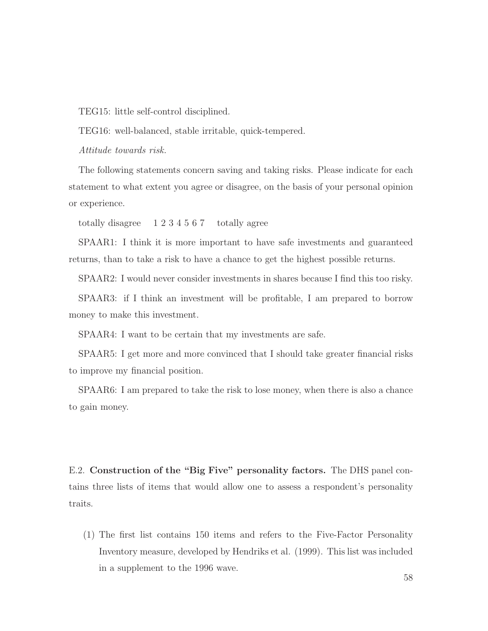TEG15: little self-control disciplined.

TEG16: well-balanced, stable irritable, quick-tempered.

Attitude towards risk.

The following statements concern saving and taking risks. Please indicate for each statement to what extent you agree or disagree, on the basis of your personal opinion or experience.

totally disagree  $1\ 2\ 3\ 4\ 5\ 6\ 7$  totally agree

SPAAR1: I think it is more important to have safe investments and guaranteed returns, than to take a risk to have a chance to get the highest possible returns.

SPAAR2: I would never consider investments in shares because I find this too risky.

SPAAR3: if I think an investment will be profitable, I am prepared to borrow money to make this investment.

SPAAR4: I want to be certain that my investments are safe.

SPAAR5: I get more and more convinced that I should take greater financial risks to improve my financial position.

SPAAR6: I am prepared to take the risk to lose money, when there is also a chance to gain money.

E.2. Construction of the "Big Five" personality factors. The DHS panel contains three lists of items that would allow one to assess a respondent's personality traits.

(1) The first list contains 150 items and refers to the Five-Factor Personality Inventory measure, developed by Hendriks et al. (1999). This list was included in a supplement to the 1996 wave.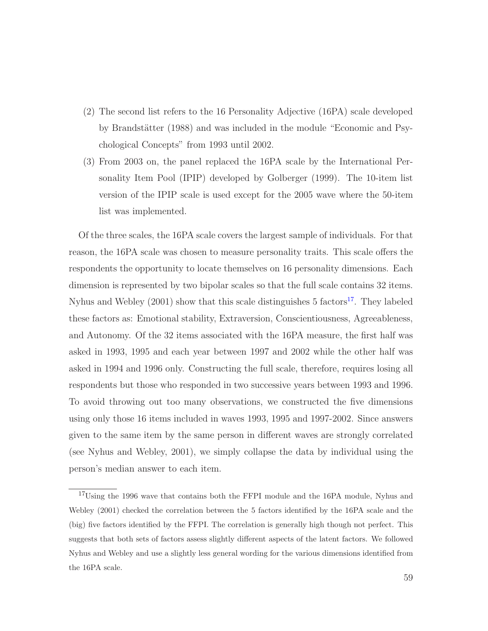- (2) The second list refers to the 16 Personality Adjective (16PA) scale developed by Brandstätter (1988) and was included in the module "Economic and Psychological Concepts" from 1993 until 2002.
- (3) From 2003 on, the panel replaced the 16PA scale by the International Personality Item Pool (IPIP) developed by Golberger (1999). The 10-item list version of the IPIP scale is used except for the 2005 wave where the 50-item list was implemented.

Of the three scales, the 16PA scale covers the largest sample of individuals. For that reason, the 16PA scale was chosen to measure personality traits. This scale offers the respondents the opportunity to locate themselves on 16 personality dimensions. Each dimension is represented by two bipolar scales so that the full scale contains 32 items. Nyhus and Webley (2001) show that this scale distinguishes 5 factors<sup>[17](#page-58-0)</sup>. They labeled these factors as: Emotional stability, Extraversion, Conscientiousness, Agreeableness, and Autonomy. Of the 32 items associated with the 16PA measure, the first half was asked in 1993, 1995 and each year between 1997 and 2002 while the other half was asked in 1994 and 1996 only. Constructing the full scale, therefore, requires losing all respondents but those who responded in two successive years between 1993 and 1996. To avoid throwing out too many observations, we constructed the five dimensions using only those 16 items included in waves 1993, 1995 and 1997-2002. Since answers given to the same item by the same person in different waves are strongly correlated (see Nyhus and Webley, 2001), we simply collapse the data by individual using the person's median answer to each item.

<span id="page-58-0"></span><sup>17</sup>Using the 1996 wave that contains both the FFPI module and the 16PA module, Nyhus and Webley (2001) checked the correlation between the 5 factors identified by the 16PA scale and the (big) five factors identified by the FFPI. The correlation is generally high though not perfect. This suggests that both sets of factors assess slightly different aspects of the latent factors. We followed Nyhus and Webley and use a slightly less general wording for the various dimensions identified from the 16PA scale.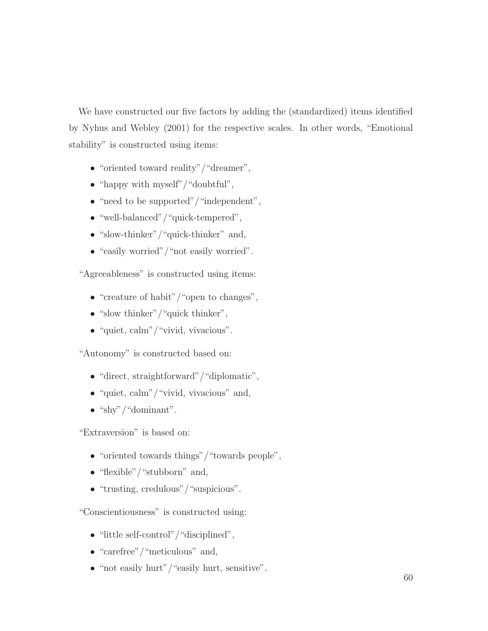We have constructed our five factors by adding the (standardized) items identified by Nyhus and Webley (2001) for the respective scales. In other words, "Emotional stability" is constructed using items:

- "oriented toward reality"/"dreamer",
- "happy with myself"/"doubtful",
- "need to be supported"/"independent",
- "well-balanced"/"quick-tempered",
- "slow-thinker" / "quick-thinker" and,
- "easily worried"/"not easily worried".

"Agreeableness" is constructed using items:

- "creature of habit"/"open to changes",
- "slow thinker"/"quick thinker",
- "quiet, calm"/"vivid, vivacious".

"Autonomy" is constructed based on:

- "direct, straightforward"/"diplomatic",
- "quiet, calm"/"vivid, vivacious" and,
- "shy"/"dominant".

"Extraversion" is based on:

- "oriented towards things"/"towards people",
- "flexible"/"stubborn" and,
- "trusting, credulous"/"suspicious".

"Conscientiousness" is constructed using:

- "little self-control"/"disciplined",
- "carefree"/"meticulous" and,
- "not easily hurt"/"easily hurt, sensitive".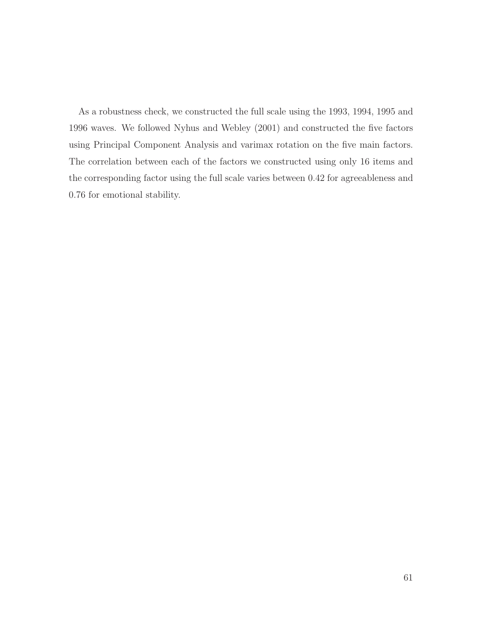As a robustness check, we constructed the full scale using the 1993, 1994, 1995 and 1996 waves. We followed Nyhus and Webley (2001) and constructed the five factors using Principal Component Analysis and varimax rotation on the five main factors. The correlation between each of the factors we constructed using only 16 items and the corresponding factor using the full scale varies between 0.42 for agreeableness and 0.76 for emotional stability.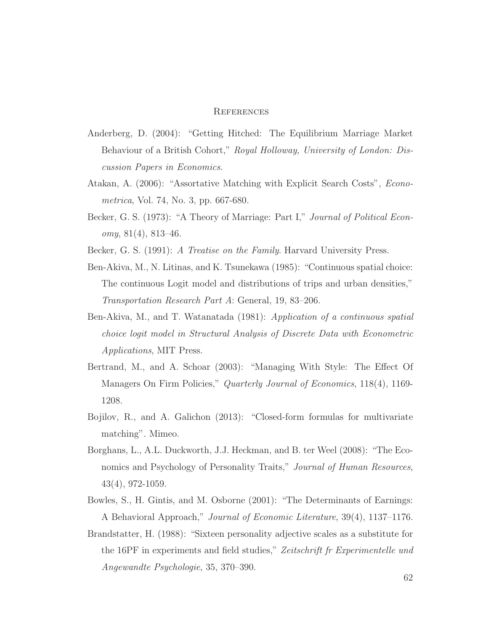#### **REFERENCES**

- Anderberg, D. (2004): "Getting Hitched: The Equilibrium Marriage Market Behaviour of a British Cohort," Royal Holloway, University of London: Discussion Papers in Economics.
- Atakan, A. (2006): "Assortative Matching with Explicit Search Costs", Econometrica, Vol. 74, No. 3, pp. 667-680.
- Becker, G. S. (1973): "A Theory of Marriage: Part I," Journal of Political Econ $omy, 81(4), 813-46.$
- Becker, G. S. (1991): A Treatise on the Family. Harvard University Press.
- Ben-Akiva, M., N. Litinas, and K. Tsunekawa (1985): "Continuous spatial choice: The continuous Logit model and distributions of trips and urban densities," Transportation Research Part A: General, 19, 83–206.
- Ben-Akiva, M., and T. Watanatada (1981): Application of a continuous spatial choice logit model in Structural Analysis of Discrete Data with Econometric Applications, MIT Press.
- Bertrand, M., and A. Schoar (2003): "Managing With Style: The Effect Of Managers On Firm Policies," Quarterly Journal of Economics, 118(4), 1169- 1208.
- Bojilov, R., and A. Galichon (2013): "Closed-form formulas for multivariate matching". Mimeo.
- Borghans, L., A.L. Duckworth, J.J. Heckman, and B. ter Weel (2008): "The Economics and Psychology of Personality Traits," Journal of Human Resources, 43(4), 972-1059.
- Bowles, S., H. Gintis, and M. Osborne (2001): "The Determinants of Earnings: A Behavioral Approach," Journal of Economic Literature, 39(4), 1137–1176.
- Brandstatter, H. (1988): "Sixteen personality adjective scales as a substitute for the 16PF in experiments and field studies," Zeitschrift fr Experimentelle und Angewandte Psychologie, 35, 370–390.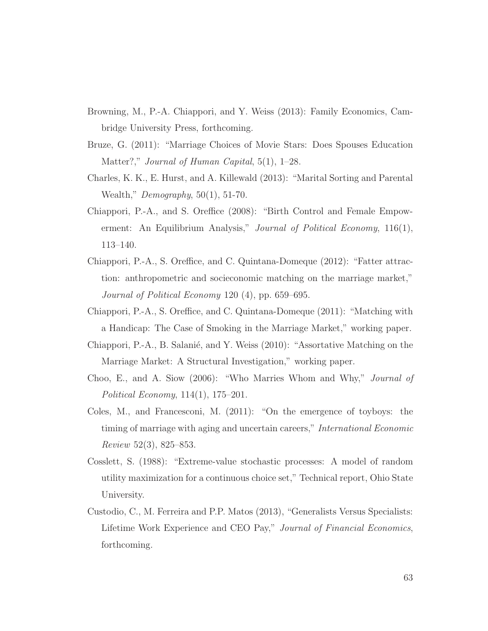- Browning, M., P.-A. Chiappori, and Y. Weiss (2013): Family Economics, Cambridge University Press, forthcoming.
- Bruze, G. (2011): "Marriage Choices of Movie Stars: Does Spouses Education Matter?," Journal of Human Capital, 5(1), 1–28.
- Charles, K. K., E. Hurst, and A. Killewald (2013): "Marital Sorting and Parental Wealth," Demography, 50(1), 51-70.
- Chiappori, P.-A., and S. Oreffice (2008): "Birth Control and Female Empowerment: An Equilibrium Analysis," Journal of Political Economy, 116(1), 113–140.
- Chiappori, P.-A., S. Oreffice, and C. Quintana-Domeque (2012): "Fatter attraction: anthropometric and socieconomic matching on the marriage market," Journal of Political Economy 120 (4), pp. 659–695.
- Chiappori, P.-A., S. Oreffice, and C. Quintana-Domeque (2011): "Matching with a Handicap: The Case of Smoking in the Marriage Market," working paper.
- Chiappori, P.-A., B. Salanié, and Y. Weiss (2010): "Assortative Matching on the Marriage Market: A Structural Investigation," working paper.
- Choo, E., and A. Siow (2006): "Who Marries Whom and Why," Journal of Political Economy, 114(1), 175–201.
- Coles, M., and Francesconi, M. (2011): "On the emergence of toyboys: the timing of marriage with aging and uncertain careers," International Economic Review 52(3), 825–853.
- Cosslett, S. (1988): "Extreme-value stochastic processes: A model of random utility maximization for a continuous choice set," Technical report, Ohio State University.
- Custodio, C., M. Ferreira and P.P. Matos (2013), "Generalists Versus Specialists: Lifetime Work Experience and CEO Pay," Journal of Financial Economics, forthcoming.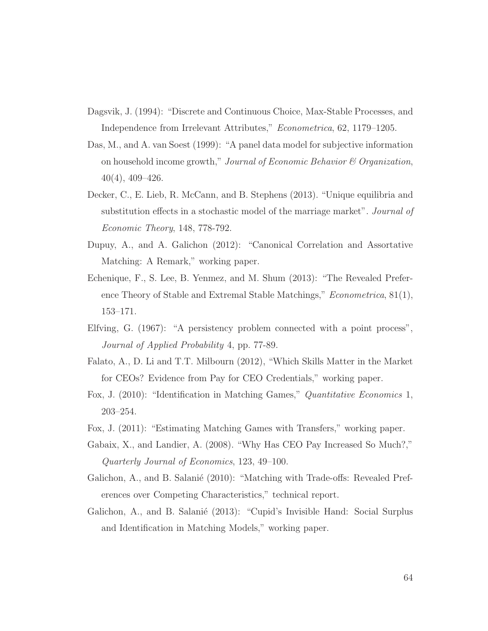- Dagsvik, J. (1994): "Discrete and Continuous Choice, Max-Stable Processes, and Independence from Irrelevant Attributes," Econometrica, 62, 1179–1205.
- Das, M., and A. van Soest (1999): "A panel data model for subjective information on household income growth," Journal of Economic Behavior  $\mathcal C$  Organization, 40(4), 409–426.
- Decker, C., E. Lieb, R. McCann, and B. Stephens (2013). "Unique equilibria and substitution effects in a stochastic model of the marriage market". Journal of Economic Theory, 148, 778-792.
- Dupuy, A., and A. Galichon (2012): "Canonical Correlation and Assortative Matching: A Remark," working paper.
- Echenique, F., S. Lee, B. Yenmez, and M. Shum (2013): "The Revealed Preference Theory of Stable and Extremal Stable Matchings," *Econometrica*, 81(1), 153–171.
- Elfving, G. (1967): "A persistency problem connected with a point process", Journal of Applied Probability 4, pp. 77-89.
- Falato, A., D. Li and T.T. Milbourn (2012), "Which Skills Matter in the Market for CEOs? Evidence from Pay for CEO Credentials," working paper.
- Fox, J. (2010): "Identification in Matching Games," Quantitative Economics 1, 203–254.
- Fox, J. (2011): "Estimating Matching Games with Transfers," working paper.
- Gabaix, X., and Landier, A. (2008). "Why Has CEO Pay Increased So Much?," Quarterly Journal of Economics, 123, 49–100.
- Galichon, A., and B. Salanié (2010): "Matching with Trade-offs: Revealed Preferences over Competing Characteristics," technical report.
- Galichon, A., and B. Salanié (2013): "Cupid's Invisible Hand: Social Surplus and Identification in Matching Models," working paper.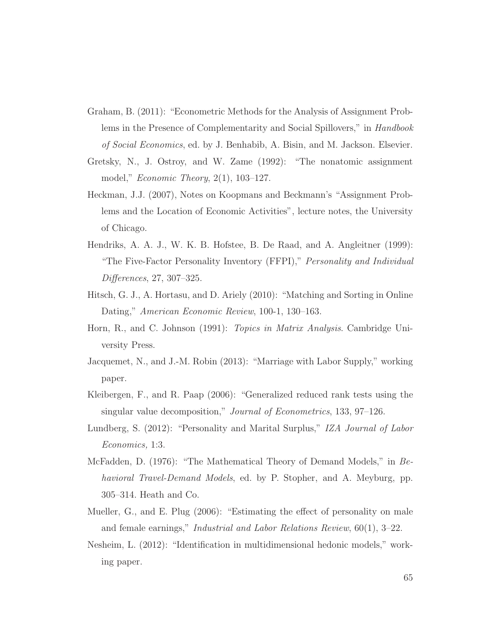- Graham, B. (2011): "Econometric Methods for the Analysis of Assignment Problems in the Presence of Complementarity and Social Spillovers," in *Handbook* of Social Economics, ed. by J. Benhabib, A. Bisin, and M. Jackson. Elsevier.
- Gretsky, N., J. Ostroy, and W. Zame (1992): "The nonatomic assignment model," Economic Theory, 2(1), 103–127.
- Heckman, J.J. (2007), Notes on Koopmans and Beckmann's "Assignment Problems and the Location of Economic Activities", lecture notes, the University of Chicago.
- Hendriks, A. A. J., W. K. B. Hofstee, B. De Raad, and A. Angleitner (1999): "The Five-Factor Personality Inventory (FFPI)," Personality and Individual Differences, 27, 307–325.
- Hitsch, G. J., A. Hortasu, and D. Ariely (2010): "Matching and Sorting in Online Dating," American Economic Review, 100-1, 130–163.
- Horn, R., and C. Johnson (1991): *Topics in Matrix Analysis*. Cambridge University Press.
- Jacquemet, N., and J.-M. Robin (2013): "Marriage with Labor Supply," working paper.
- Kleibergen, F., and R. Paap (2006): "Generalized reduced rank tests using the singular value decomposition," Journal of Econometrics, 133, 97–126.
- Lundberg, S. (2012): "Personality and Marital Surplus," IZA Journal of Labor Economics, 1:3.
- McFadden, D. (1976): "The Mathematical Theory of Demand Models," in Behavioral Travel-Demand Models, ed. by P. Stopher, and A. Meyburg, pp. 305–314. Heath and Co.
- Mueller, G., and E. Plug (2006): "Estimating the effect of personality on male and female earnings," Industrial and Labor Relations Review, 60(1), 3–22.
- Nesheim, L. (2012): "Identification in multidimensional hedonic models," working paper.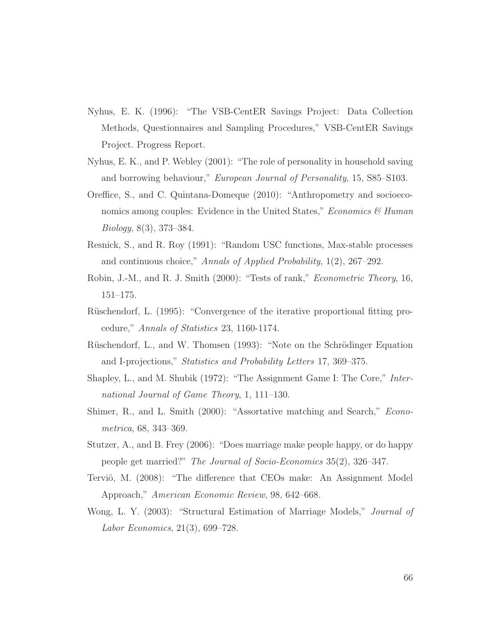- Nyhus, E. K. (1996): "The VSB-CentER Savings Project: Data Collection Methods, Questionnaires and Sampling Procedures," VSB-CentER Savings Project. Progress Report.
- Nyhus, E. K., and P. Webley (2001): "The role of personality in household saving and borrowing behaviour," European Journal of Personality, 15, S85–S103.
- Oreffice, S., and C. Quintana-Domeque (2010): "Anthropometry and socioeconomics among couples: Evidence in the United States," Economics  $\mathcal{C}_{Ham}$ Biology, 8(3), 373–384.
- Resnick, S., and R. Roy (1991): "Random USC functions, Max-stable processes and continuous choice," Annals of Applied Probability, 1(2), 267–292.
- Robin, J.-M., and R. J. Smith (2000): "Tests of rank," Econometric Theory, 16, 151–175.
- Rüschendorf, L. (1995): "Convergence of the iterative proportional fitting procedure," Annals of Statistics 23, 1160-1174.
- Rüschendorf, L., and W. Thomsen (1993): "Note on the Schrödinger Equation and I-projections," Statistics and Probability Letters 17, 369–375.
- Shapley, L., and M. Shubik (1972): "The Assignment Game I: The Core," International Journal of Game Theory, 1, 111–130.
- Shimer, R., and L. Smith (2000): "Assortative matching and Search," Econometrica, 68, 343–369.
- Stutzer, A., and B. Frey (2006): "Does marriage make people happy, or do happy people get married?" The Journal of Socio-Economics 35(2), 326–347.
- Terviö, M. (2008): "The difference that CEOs make: An Assignment Model Approach," American Economic Review, 98, 642–668.
- Wong, L. Y. (2003): "Structural Estimation of Marriage Models," *Journal of* Labor Economics, 21(3), 699–728.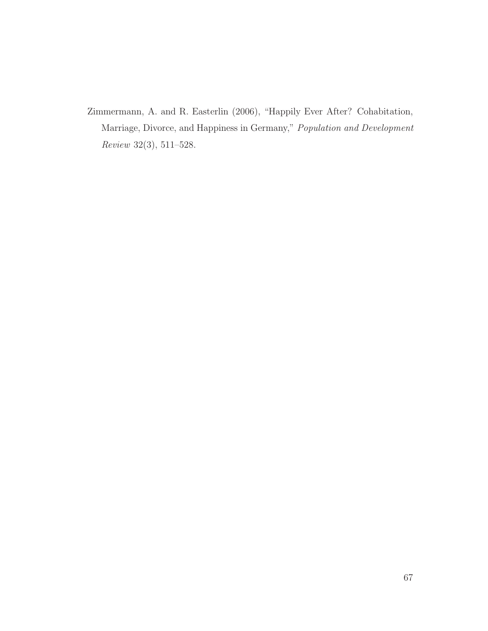Zimmermann, A. and R. Easterlin (2006), "Happily Ever After? Cohabitation, Marriage, Divorce, and Happiness in Germany," Population and Development Review 32(3), 511–528.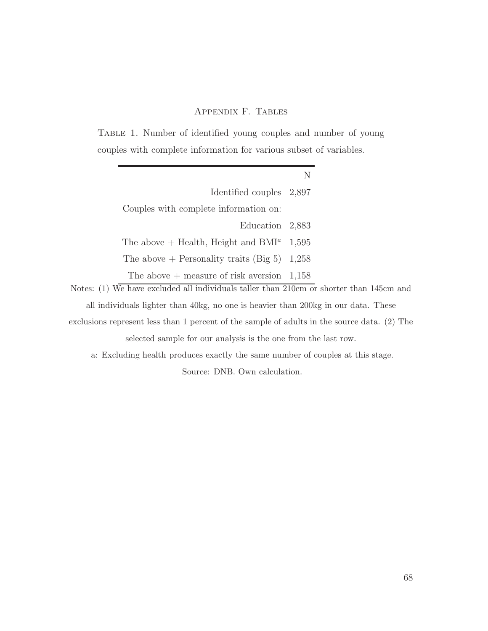## Appendix F. Tables

Table 1. Number of identified young couples and number of young couples with complete information for various subset of variables.

|                                                                    | N |
|--------------------------------------------------------------------|---|
| Identified couples 2,897                                           |   |
| Couples with complete information on:                              |   |
| Education 2,883                                                    |   |
| The above + Health, Height and BMI <sup><math>a</math></sup> 1,595 |   |
| The above + Personality traits (Big 5) $1,258$                     |   |
| The above $+$ measure of risk aversion 1,158                       |   |

Notes: (1) We have excluded all individuals taller than 210cm or shorter than 145cm and all individuals lighter than 40kg, no one is heavier than 200kg in our data. These exclusions represent less than 1 percent of the sample of adults in the source data. (2) The

selected sample for our analysis is the one from the last row.

a: Excluding health produces exactly the same number of couples at this stage.

Source: DNB. Own calculation.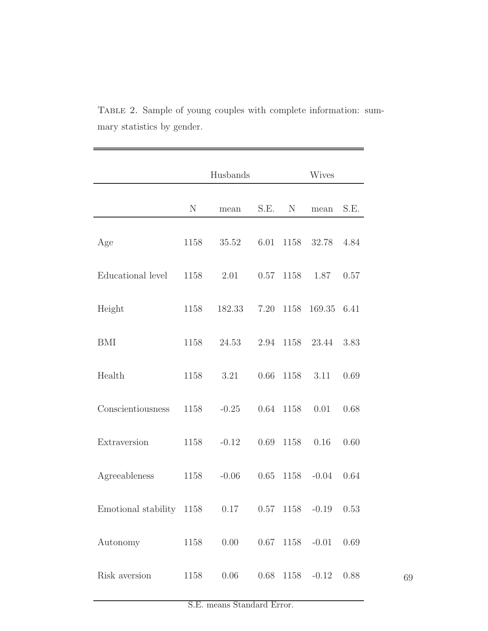|                     |      | Husbands |      |      | <b>Wives</b> |      |
|---------------------|------|----------|------|------|--------------|------|
|                     | N    | mean     | S.E. | N    | mean         | S.E. |
| Age                 | 1158 | 35.52    | 6.01 | 1158 | 32.78        | 4.84 |
| Educational level   | 1158 | 2.01     | 0.57 | 1158 | 1.87         | 0.57 |
| Height              | 1158 | 182.33   | 7.20 | 1158 | 169.35       | 6.41 |
| BMI                 | 1158 | 24.53    | 2.94 | 1158 | 23.44        | 3.83 |
| Health              | 1158 | 3.21     | 0.66 | 1158 | 3.11         | 0.69 |
| Conscientiousness   | 1158 | $-0.25$  | 0.64 | 1158 | 0.01         | 0.68 |
| Extraversion        | 1158 | $-0.12$  | 0.69 | 1158 | 0.16         | 0.60 |
| Agreeableness       | 1158 | $-0.06$  | 0.65 | 1158 | $-0.04$      | 0.64 |
| Emotional stability | 1158 | 0.17     | 0.57 | 1158 | $-0.19$      | 0.53 |
| Autonomy            | 1158 | 0.00     | 0.67 | 1158 | $-0.01$      | 0.69 |
| Risk aversion       | 1158 | 0.06     | 0.68 | 1158 | $-0.12$      | 0.88 |

TABLE 2. Sample of young couples with complete information: summary statistics by gender.

69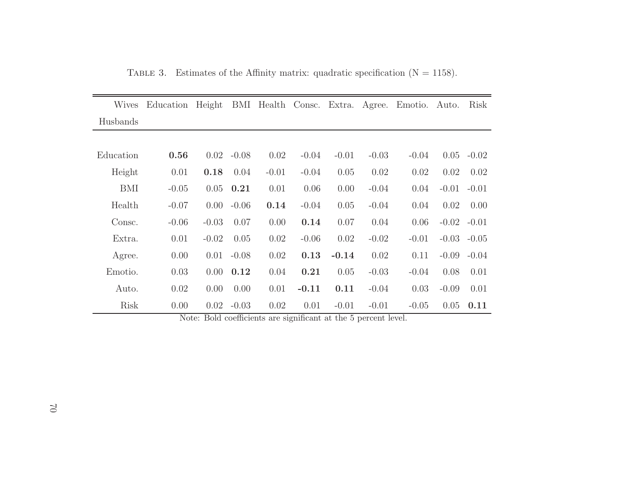TABLE 3. Estimates of the Affinity matrix: quadratic specification  $(N = 1158)$ .

| <b>Wives</b> | Education | Height  |         | BMI Health Consc. Extra. Agree. |         |         |         | Emotio. | Auto.   | Risk    |
|--------------|-----------|---------|---------|---------------------------------|---------|---------|---------|---------|---------|---------|
| Husbands     |           |         |         |                                 |         |         |         |         |         |         |
|              |           |         |         |                                 |         |         |         |         |         |         |
| Education    | 0.56      | 0.02    | $-0.08$ | 0.02                            | $-0.04$ | $-0.01$ | $-0.03$ | $-0.04$ | 0.05    | $-0.02$ |
| Height       | 0.01      | 0.18    | 0.04    | $-0.01$                         | $-0.04$ | 0.05    | 0.02    | 0.02    | 0.02    | 0.02    |
| <b>BMI</b>   | $-0.05$   | 0.05    | 0.21    | 0.01                            | 0.06    | 0.00    | $-0.04$ | 0.04    | $-0.01$ | $-0.01$ |
| Health       | $-0.07$   | 0.00    | $-0.06$ | 0.14                            | $-0.04$ | 0.05    | $-0.04$ | 0.04    | 0.02    | 0.00    |
| Consc.       | $-0.06$   | $-0.03$ | 0.07    | 0.00                            | 0.14    | 0.07    | 0.04    | 0.06    | $-0.02$ | $-0.01$ |
| Extra.       | 0.01      | $-0.02$ | 0.05    | 0.02                            | $-0.06$ | 0.02    | $-0.02$ | $-0.01$ | $-0.03$ | $-0.05$ |
| Agree.       | 0.00      | 0.01    | $-0.08$ | 0.02                            | 0.13    | $-0.14$ | 0.02    | 0.11    | $-0.09$ | $-0.04$ |
| Emotio.      | 0.03      | 0.00    | 0.12    | 0.04                            | 0.21    | 0.05    | $-0.03$ | $-0.04$ | 0.08    | 0.01    |
| Auto.        | 0.02      | 0.00    | 0.00    | 0.01                            | $-0.11$ | 0.11    | $-0.04$ | 0.03    | $-0.09$ | 0.01    |
| <b>Risk</b>  | 0.00      | 0.02    | $-0.03$ | 0.02                            | 0.01    | $-0.01$ | $-0.01$ | $-0.05$ | 0.05    | 0.11    |

Note: Bold coefficients are significant at the <sup>5</sup> percent level.

 $\mathfrak{S}$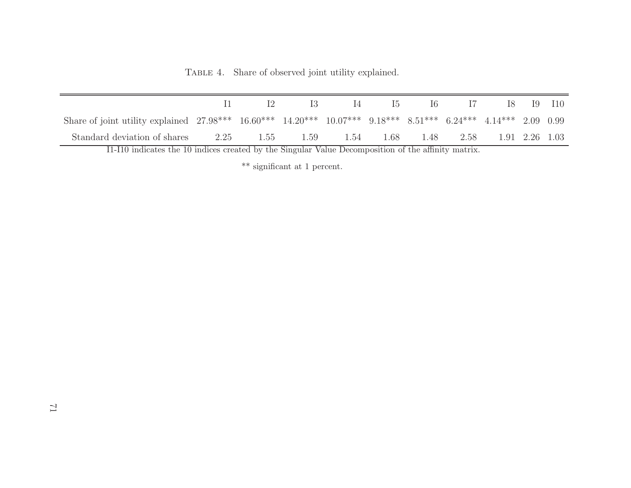| TABLE 4. Share of observed joint utility explained. |  |  |  |  |  |  |
|-----------------------------------------------------|--|--|--|--|--|--|
|-----------------------------------------------------|--|--|--|--|--|--|

|                                                                                                                |      | - 12 |      |                      | $I4$ $I5$ $I6$ $I7$ |                     | I8 I9 I10 |  |
|----------------------------------------------------------------------------------------------------------------|------|------|------|----------------------|---------------------|---------------------|-----------|--|
| Share of joint utility explained 27.98*** 16.60*** 14.20*** 10.07*** 9.18*** 8.51*** 6.24*** 4.14*** 2.09 0.99 |      |      |      |                      |                     |                     |           |  |
| Standard deviation of shares                                                                                   | 2.25 | 1.55 | 1.59 | $1.54$ $1.68$ $1.48$ |                     | 2.58 1.91 2.26 1.03 |           |  |

I1-I10 indicates the <sup>10</sup> indices created by the Singular Value Decomposition of the affinity matrix.

\*\* significant at <sup>1</sup> percent.